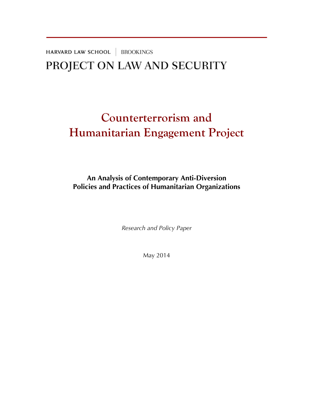## HARVARD LAW SCHOOL | BROOKINGS PROJECT ON LAW AND SECURITY

# **Counterterrorism and Humanitarian Engagement Project**

**An Analysis of Contemporary Anti-Diversion Policies and Practices of Humanitarian Organizations**

*Research and Policy Paper*

May 2014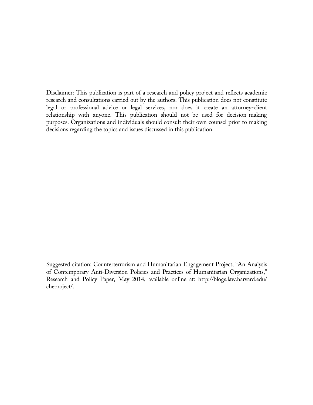Disclaimer: This publication is part of a research and policy project and reflects academic research and consultations carried out by the authors. This publication does not constitute legal or professional advice or legal services, nor does it create an attorney-client relationship with anyone. This publication should not be used for decision-making purposes. Organizations and individuals should consult their own counsel prior to making decisions regarding the topics and issues discussed in this publication.

Suggested citation: Counterterrorism and Humanitarian Engagement Project, "An Analysis of Contemporary Anti-Diversion Policies and Practices of Humanitarian Organizations," [Research and Policy Paper, May 2014, available online at: http://blogs.law.harvard.edu/](http://blogs.law.harvard.edu/cheproject/) cheproject/.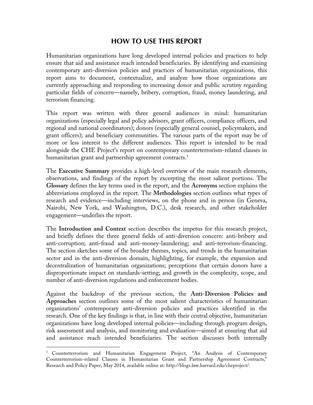#### **HOW TO USE THIS REPORT**

Humanitarian organizations have long developed internal policies and practices to help ensure that aid and assistance reach intended beneficiaries. By identifying and examining contemporary anti-diversion policies and practices of humanitarian organizations, this report aims to document, contextualize, and analyze how those organizations are currently approaching and responding to increasing donor and public scrutiny regarding particular fields of concern—namely, bribery, corruption, fraud, money laundering, and terrorism financing.

This report was written with three general audiences in mind: humanitarian organizations (especially legal and policy advisors, grant officers, compliance officers, and regional and national coordinators); donors (especially general counsel, policymakers, and grant officers); and beneficiary communities. The various parts of the report may be of more or less interest to the different audiences. This report is intended to be read alongside the CHE Project's report on contemporary counterterrorism-related clauses in humanitarian grant and partnership agreement contracts. 1

The **Executive Summary** provides a high-level overview of the main research elements, observations, and findings of the report by excerpting the most salient portions. The **Glossary** defines the key terms used in the report, and the **Acronyms** section explains the abbreviations employed in the report. The **Methodologies** section outlines what types of research and evidence—including interviews, on the phone and in person (in Geneva, Nairobi, New York, and Washington, D.C.), desk research, and other stakeholder engagement—underlies the report.

The **Introduction and Context** section describes the impetus for this research project, and briefly defines the three general fields of anti-diversion concern: anti-bribery and anti-corruption; anti-fraud and anti-money-laundering; and anti-terrorism-financing. The section sketches some of the broader themes, topics, and trends in the humanitarian sector and in the anti-diversion domain, highlighting, for example, the expansion and decentralization of humanitarian organizations; perceptions that certain donors have a disproportionate impact on standards-setting; and growth in the complexity, scope, and number of anti-diversion regulations and enforcement bodies.

Against the backdrop of the previous section, the **Anti-Diversion Policies and Approaches** section outlines some of the most salient characteristics of humanitarian organizations' contemporary anti-diversion policies and practices identified in the research. One of the key findings is that, in line with their central objective, humanitarian organizations have long developed internal policies—including through program design, risk assessment and analysis, and monitoring and evaluation—aimed at ensuring that aid and assistance reach intended beneficiaries. The section discusses both internally

 <sup>1</sup> Counterterrorism and Humanitarian Engagement Project, "An Analysis of Contemporary Counterterrorism-related Clauses in Humanitarian Grant and Partnership Agreement Contracts," Research and Policy Paper, May 2014, available online at: http://blogs.law.harvard.edu/cheproject/.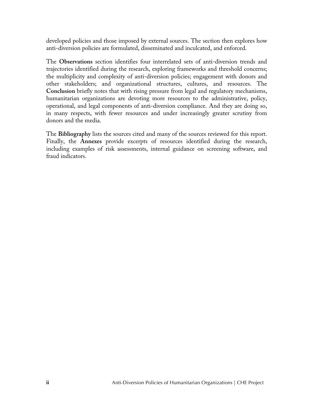developed policies and those imposed by external sources. The section then explores how anti-diversion policies are formulated, disseminated and inculcated, and enforced.

The **Observations** section identifies four interrelated sets of anti-diversion trends and trajectories identified during the research, exploring frameworks and threshold concerns; the multiplicity and complexity of anti-diversion policies; engagement with donors and other stakeholders; and organizational structures, cultures, and resources. The **Conclusion** briefly notes that with rising pressure from legal and regulatory mechanisms, humanitarian organizations are devoting more resources to the administrative, policy, operational, and legal components of anti-diversion compliance. And they are doing so, in many respects, with fewer resources and under increasingly greater scrutiny from donors and the media.

The **Bibliography** lists the sources cited and many of the sources reviewed for this report. Finally, the **Annexes** provide excerpts of resources identified during the research, including examples of risk assessments, internal guidance on screening software, and fraud indicators.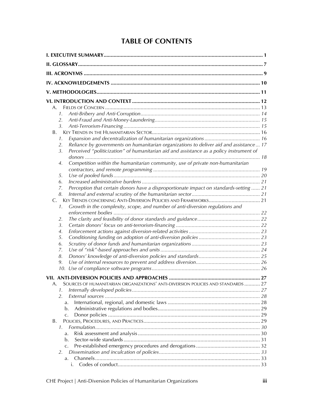### **TABLE OF CONTENTS**

| 1.                                                                                            |  |
|-----------------------------------------------------------------------------------------------|--|
| 2.                                                                                            |  |
| 3.                                                                                            |  |
| В.                                                                                            |  |
| 1.                                                                                            |  |
| Reliance by governments on humanitarian organizations to deliver aid and assistance 17<br>2.  |  |
| Perceived "politicization" of humanitarian aid and assistance as a policy instrument of<br>3. |  |
| Competition within the humanitarian community, use of private non-humanitarian<br>4.          |  |
|                                                                                               |  |
| 5.                                                                                            |  |
| 6.                                                                                            |  |
| Perception that certain donors have a disproportionate impact on standards-setting  21<br>7.  |  |
| 8.                                                                                            |  |
| C.                                                                                            |  |
| Growth in the complexity, scope, and number of anti-diversion regulations and<br>1.           |  |
|                                                                                               |  |
| 2.                                                                                            |  |
| 3.                                                                                            |  |
| $\overline{4}$ .                                                                              |  |
| 5.                                                                                            |  |
| 6.                                                                                            |  |
| 7.                                                                                            |  |
| 8.                                                                                            |  |
| 9.                                                                                            |  |
|                                                                                               |  |
|                                                                                               |  |
| SOURCES OF HUMANITARIAN ORGANIZATIONS' ANTI-DIVERSION POLICIES AND STANDARDS  27<br>А.        |  |
| 1.                                                                                            |  |
| 2.                                                                                            |  |
| a.                                                                                            |  |
| $\mathbf{b}$ .                                                                                |  |
| $C_{\star}$<br>В.                                                                             |  |
| $1_{-}$                                                                                       |  |
| a.                                                                                            |  |
| b.                                                                                            |  |
| C <sub>1</sub>                                                                                |  |
| 2.                                                                                            |  |
| a.                                                                                            |  |
| i.                                                                                            |  |
|                                                                                               |  |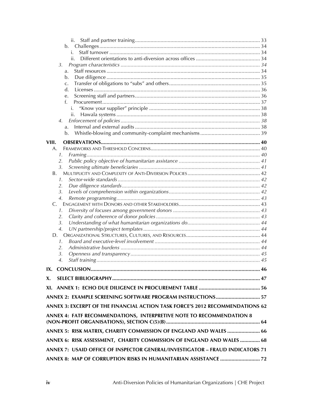| b.                                                                            |
|-------------------------------------------------------------------------------|
| i.                                                                            |
| ii.                                                                           |
| 3.                                                                            |
| a.                                                                            |
| $\mathbf b$ .                                                                 |
| $C_{\star}$                                                                   |
| $d_{\cdot}$                                                                   |
| e.                                                                            |
| f.                                                                            |
|                                                                               |
|                                                                               |
| 4.                                                                            |
| a.                                                                            |
| b.                                                                            |
| VIII.                                                                         |
| A <sub>1</sub>                                                                |
| 1.                                                                            |
| 2.                                                                            |
| 3.                                                                            |
| B.                                                                            |
| 1.                                                                            |
| 2.                                                                            |
| 3.                                                                            |
| $\overline{4}$ .                                                              |
| $C_{\cdot}$                                                                   |
| 1.                                                                            |
| 2.                                                                            |
| 3.                                                                            |
| $\overline{4}$ .                                                              |
| D.                                                                            |
| $\mathcal{I}$ .                                                               |
| 2.                                                                            |
| 3.                                                                            |
| $\overline{4}$ .                                                              |
|                                                                               |
|                                                                               |
| Х.                                                                            |
|                                                                               |
| ANNEX 2: EXAMPLE SCREENING SOFTWARE PROGRAM INSTRUCTIONS 57                   |
|                                                                               |
| ANNEX 3: EXCERPT OF THE FINANCIAL ACTION TASK FORCE'S 2012 RECOMMENDATIONS 62 |
| ANNEX 4: FATF RECOMMENDATIONS, INTERPRETIVE NOTE TO RECOMMENDATION 8          |
| ANNEX 5: RISK MATRIX, CHARITY COMMISSION OF ENGLAND AND WALES  66             |
| ANNEX 6: RISK ASSESSMENT, CHARITY COMMISSION OF ENGLAND AND WALES  68         |
| ANNEX 7: USAID OFFICE OF INSPECTOR GENERAL/INVESTIGATOR - FRAUD INDICATORS 71 |
|                                                                               |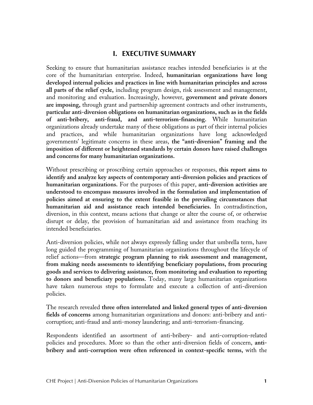#### **I. EXECUTIVE SUMMARY**

Seeking to ensure that humanitarian assistance reaches intended beneficiaries is at the core of the humanitarian enterprise. Indeed, **humanitarian organizations have long developed internal policies and practices in line with humanitarian principles and across all parts of the relief cycle,** including program design, risk assessment and management, and monitoring and evaluation. Increasingly, however, **government and private donors are imposing,** through grant and partnership agreement contracts and other instruments, **particular anti-diversion obligations on humanitarian organizations, such as in the fields of anti-bribery, anti-fraud, and anti-terrorism-financing.** While humanitarian organizations already undertake many of these obligations as part of their internal policies and practices, and while humanitarian organizations have long acknowledged governments' legitimate concerns in these areas, **the "anti-diversion" framing and the imposition of different or heightened standards by certain donors have raised challenges and concerns for many humanitarian organizations.**

Without prescribing or proscribing certain approaches or responses, **this report aims to identify and analyze key aspects of contemporary anti-diversion policies and practices of humanitarian organizations.** For the purposes of this paper, **anti-diversion activities are understood to encompass measures involved in the formulation and implementation of policies aimed at ensuring to the extent feasible in the prevailing circumstances that humanitarian aid and assistance reach intended beneficiaries.** In contradistinction, diversion, in this context, means actions that change or alter the course of, or otherwise disrupt or delay, the provision of humanitarian aid and assistance from reaching its intended beneficiaries.

Anti-diversion policies, while not always expressly falling under that umbrella term, have long guided the programming of humanitarian organizations throughout the lifecycle of relief actions—from **strategic program planning to risk assessment and management, from making needs assessments to identifying beneficiary populations, from procuring goods and services to delivering assistance, from monitoring and evaluation to reporting to donors and beneficiary populations.** Today, many large humanitarian organizations have taken numerous steps to formulate and execute a collection of anti-diversion policies.

The research revealed **three often interrelated and linked general types of anti-diversion fields of concerns** among humanitarian organizations and donors: anti-bribery and anticorruption; anti-fraud and anti-money laundering; and anti-terrorism-financing.

Respondents identified an assortment of anti-bribery- and anti-corruption-related policies and procedures. More so than the other anti-diversion fields of concern, **antibribery and anti-corruption were often referenced in context-specific terms,** with the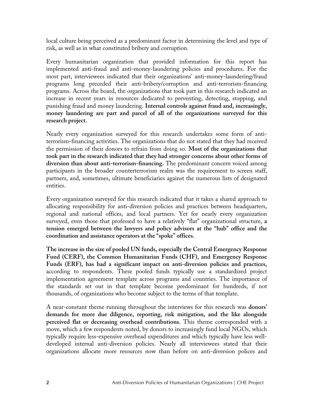local culture being perceived as a predominant factor in determining the level and type of risk, as well as in what constituted bribery and corruption.

Every humanitarian organization that provided information for this report has implemented anti-fraud and anti-money-laundering policies and procedures. For the most part, interviewees indicated that their organizations' anti-money-laundering/fraud programs long preceded their anti-bribery/corruption and anti-terrorism-financing programs. Across the board, the organizations that took part in this research indicated an increase in recent years in resources dedicated to preventing, detecting, stopping, and punishing fraud and money laundering. **Internal controls against fraud and, increasingly, money laundering are part and parcel of all of the organizations surveyed for this research project.** 

Nearly every organization surveyed for this research undertakes some form of antiterrorism-financing activities. The organizations that do not stated that they had received the permission of their donors to refrain from doing so. **Most of the organizations that took part in the research indicated that they had stronger concerns about other forms of diversion than about anti-terrorism-financing.** The predominant concern voiced among participants in the broader counterterrorism realm was the requirement to screen staff, partners, and, sometimes, ultimate beneficiaries against the numerous lists of designated entities.

Every organization surveyed for this research indicated that it takes a shared approach to allocating responsibility for anti-diversion policies and practices between headquarters, regional and national offices, and local partners. Yet for nearly every organization surveyed, even those that professed to have a relatively "flat" organizational structure, **a tension emerged between the lawyers and policy advisors at the "hub" office and the coordination and assistance operators at the "spoke" offices.** 

**The increase in the size of pooled UN funds, especially the Central Emergency Response Fund (CERF), the Common Humanitarian Funds (CHF), and Emergency Response Funds (ERF), has had a significant impact on anti-diversion policies and practices,** according to respondents. These pooled funds typically use a standardized project implementation agreement template across programs and countries. The importance of the standards set out in that template become predominant for hundreds, if not thousands, of organizations who become subject to the terms of that template.

A near-constant theme running throughout the interviews for this research was **donors' demands for more due diligence, reporting, risk mitigation, and the like alongside perceived flat or decreasing overhead contributions.** This theme corresponded with a move, which a few respondents noted, by donors to increasingly fund local NGOs, which typically require less-expensive overhead expenditures and which typically have less welldeveloped internal anti-diversion policies. Nearly all interviewees stated that their organizations allocate more resources now than before on anti-diversion polices and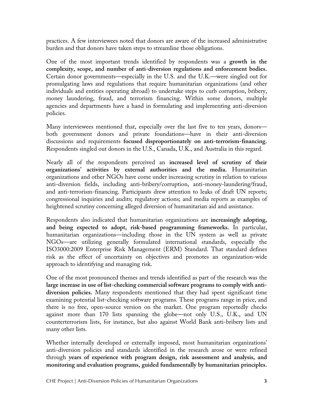practices. A few interviewees noted that donors are aware of the increased administrative burden and that donors have taken steps to streamline those obligations.

One of the most important trends identified by respondents was a **growth in the complexity, scope, and number of anti-diversion regulations and enforcement bodies.** Certain donor governments—especially in the U.S. and the U.K.—were singled out for promulgating laws and regulations that require humanitarian organizations (and other individuals and entities operating abroad) to undertake steps to curb corruption, bribery, money laundering, fraud, and terrorism financing. Within some donors, multiple agencies and departments have a hand in formulating and implementing anti-diversion policies.

Many interviewees mentioned that, especially over the last five to ten years, donors both government donors and private foundations—have in their anti-diversion discussions and requirements **focused disproportionately on anti-terrorism-financing.** Respondents singled out donors in the U.S., Canada, U.K., and Australia in this regard.

Nearly all of the respondents perceived an **increased level of scrutiny of their organizations' activities by external authorities and the media.** Humanitarian organizations and other NGOs have come under increasing scrutiny in relation to various anti-diversion fields, including anti-bribery/corruption, anti-money-laundering/fraud, and anti-terrorism-financing. Participants drew attention to leaks of draft UN reports; congressional inquiries and audits; regulatory actions; and media reports as examples of heightened scrutiny concerning alleged diversion of humanitarian aid and assistance.

Respondents also indicated that humanitarian organizations are **increasingly adopting, and being expected to adopt, risk-based programming frameworks.** In particular, humanitarian organizations—including those in the UN system as well as private NGOs—are utilizing generally formulated international standards, especially the ISO3000:2009 Enterprise Risk Management (ERM) Standard. That standard defines risk as the effect of uncertainty on objectives and promotes an organization-wide approach to identifying and managing risk.

One of the most pronounced themes and trends identified as part of the research was the **large increase in use of list-checking commercial software programs to comply with antidiversion policies.** Many respondents mentioned that they had spent significant time examining potential list-checking software programs. These programs range in price, and there is no free, open-source version on the market. One program reportedly checks against more than 170 lists spanning the globe—not only U.S., U.K., and UN counterterrorism lists, for instance, but also against World Bank anti-bribery lists and many other lists.

Whether internally developed or externally imposed, most humanitarian organizations' anti-diversion policies and standards identified in the research arose or were refined through **years of experience with program design, risk assessment and analysis, and monitoring and evaluation programs, guided fundamentally by humanitarian principles.**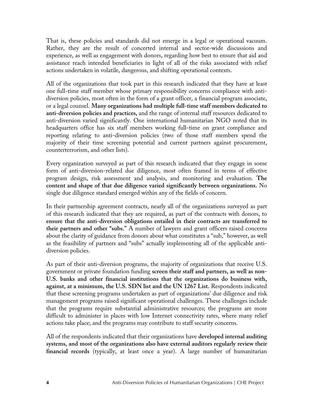That is, these policies and standards did not emerge in a legal or operational vacuum. Rather, they are the result of concerted internal and sector-wide discussions and experience, as well as engagement with donors, regarding how best to ensure that aid and assistance reach intended beneficiaries in light of all of the risks associated with relief actions undertaken in volatile, dangerous, and shifting operational contexts.

All of the organizations that took part in this research indicated that they have at least one full-time staff member whose primary responsibility concerns compliance with antidiversion policies, most often in the form of a grant officer, a financial program associate, or a legal counsel. **Many organizations had multiple full-time staff members dedicated to anti-diversion policies and practices,** and the range of internal staff resources dedicated to anti-diversion varied significantly. One international humanitarian NGO noted that its headquarters office has six staff members working full-time on grant compliance and reporting relating to anti-diversion policies (two of those staff members spend the majority of their time screening potential and current partners against procurement, counterterrorism, and other lists).

Every organization surveyed as part of this research indicated that they engage in some form of anti-diversion-related due diligence, most often framed in terms of effective program design, risk assessment and analysis, and monitoring and evaluation. **The content and shape of that due diligence varied significantly between organizations.** No single due diligence standard emerged within any of the fields of concern.

In their partnership agreement contracts, nearly all of the organizations surveyed as part of this research indicated that they are required, as part of the contracts with donors, to **ensure that the anti-diversion obligations entailed in their contracts are transferred to their partners and other "subs."** A number of lawyers and grant officers raised concerns about the clarity of guidance from donors about what constitutes a "sub," however, as well as the feasibility of partners and "subs" actually implementing all of the applicable antidiversion policies.

As part of their anti-diversion programs, the majority of organizations that receive U.S. government or private foundation funding **screen their staff and partners, as well as non-U.S. banks and other financial institutions that the organizations do business with, against, at a minimum, the U.S. SDN list and the UN 1267 List.** Respondents indicated that these screening programs undertaken as part of organizations' due diligence and risk management programs raised significant operational challenges. These challenges include that the programs require substantial administrative resources; the programs are more difficult to administer in places with low Internet connectivity rates, where many relief actions take place; and the programs may contribute to staff security concerns.

All of the respondents indicated that their organizations have **developed internal auditing systems, and most of the organizations also have external auditors regularly review their financial records** (typically, at least once a year). A large number of humanitarian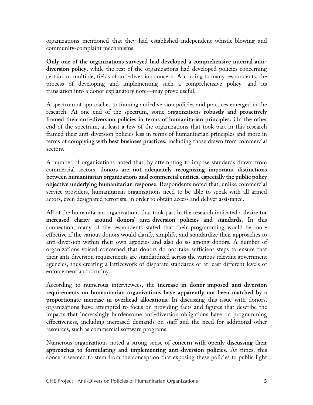organizations mentioned that they had established independent whistle-blowing and community-complaint mechanisms.

**Only one of the organizations surveyed had developed a comprehensive internal antidiversion policy,** while the rest of the organizations had developed policies concerning certain, or multiple, fields of anti-diversion concern. According to many respondents, the process of developing and implementing such a comprehensive policy—and its translation into a donor explanatory note—may prove useful.

A spectrum of approaches to framing anti-diversion policies and practices emerged in the research. At one end of the spectrum, some organizations **robustly and proactively framed their anti-diversion policies in terms of humanitarian principles.** On the other end of the spectrum, at least a few of the organizations that took part in this research framed their anti-diversion policies less in terms of humanitarian principles and more in terms of **complying with best business practices,** including those drawn from commercial sectors.

A number of organizations noted that, by attempting to impose standards drawn from commercial sectors, **donors are not adequately recognizing important distinctions between humanitarian organizations and commercial entities, especially the public policy objective underlying humanitarian response.** Respondents noted that, unlike commercial service providers, humanitarian organizations need to be able to speak with all armed actors, even designated terrorists, in order to obtain access and deliver assistance.

All of the humanitarian organizations that took part in the research indicated a **desire for increased clarity around donors' anti-diversion policies and standards.** In this connection, many of the respondents stated that their programming would be more effective if the various donors would clarify, simplify, and standardize their approaches to anti-diversion within their own agencies and also do so among donors. A number of organizations voiced concerned that donors do not take sufficient steps to ensure that their anti-diversion requirements are standardized across the various relevant government agencies, thus creating a latticework of disparate standards or at least different levels of enforcement and scrutiny.

According to numerous interviewees, the **increase in donor-imposed anti-diversion requirements on humanitarian organizations have apparently not been matched by a proportionate increase in overhead allocations.** In discussing this issue with donors, organizations have attempted to focus on providing facts and figures that describe the impacts that increasingly burdensome anti-diversion obligations have on programming effectiveness, including increased demands on staff and the need for additional other resources, such as commercial software programs.

Numerous organizations noted a strong sense of **concern with openly discussing their approaches to formulating and implementing anti-diversion policies.** At times, this concern seemed to stem from the conception that exposing these policies to public light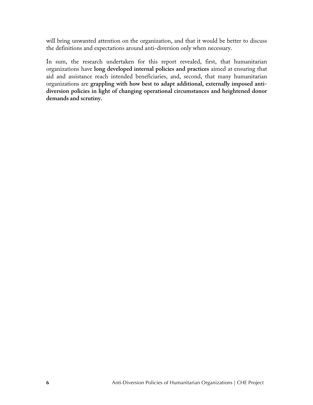will bring unwanted attention on the organization, and that it would be better to discuss the definitions and expectations around anti-diversion only when necessary.

In sum, the research undertaken for this report revealed, first, that humanitarian organizations have **long developed internal policies and practices** aimed at ensuring that aid and assistance reach intended beneficiaries, and, second, that many humanitarian organizations are **grappling with how best to adapt additional, externally imposed antidiversion policies in light of changing operational circumstances and heightened donor demands and scrutiny.**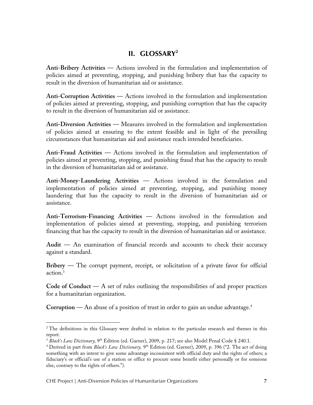#### **II. GLOSSARY2**

**Anti-Bribery Activities** — Actions involved in the formulation and implementation of policies aimed at preventing, stopping, and punishing bribery that has the capacity to result in the diversion of humanitarian aid or assistance.

**Anti-Corruption Activities** — Actions involved in the formulation and implementation of policies aimed at preventing, stopping, and punishing corruption that has the capacity to result in the diversion of humanitarian aid or assistance.

**Anti-Diversion Activities** — Measures involved in the formulation and implementation of policies aimed at ensuring to the extent feasible and in light of the prevailing circumstances that humanitarian aid and assistance reach intended beneficiaries.

**Anti-Fraud Activities** — Actions involved in the formulation and implementation of policies aimed at preventing, stopping, and punishing fraud that has the capacity to result in the diversion of humanitarian aid or assistance.

**Anti-Money-Laundering Activities** — Actions involved in the formulation and implementation of policies aimed at preventing, stopping, and punishing money laundering that has the capacity to result in the diversion of humanitarian aid or assistance.

**Anti-Terrorism-Financing Activities** — Actions involved in the formulation and implementation of policies aimed at preventing, stopping, and punishing terrorism financing that has the capacity to result in the diversion of humanitarian aid or assistance.

**Audit** — An examination of financial records and accounts to check their accuracy against a standard.

**Bribery** — The corrupt payment, receipt, or solicitation of a private favor for official action. 3

**Code of Conduct** — A set of rules outlining the responsibilities of and proper practices for a humanitarian organization.

**Corruption** — An abuse of a position of trust in order to gain an undue advantage. 4

<sup>&</sup>lt;sup>2</sup> The definitions in this Glossary were drafted in relation to the particular research and themes in this report.

<sup>&</sup>lt;sup>3</sup> Black's Law Dictionary, 9<sup>th</sup> Edition (ed. Garner), 2009, p. 217; see also Model Penal Code § 240.1.

<sup>&</sup>lt;sup>4</sup> Derived in part from *Black's Law Dictionary*, <sup>9th</sup> Edition (ed. Garner), 2009, p. 396 ("2. The act of doing something with an intent to give some advantage inconsistent with official duty and the rights of others; a fiduciary's or official's use of a station or office to procure some benefit either personally or for someone else, contrary to the rights of others.").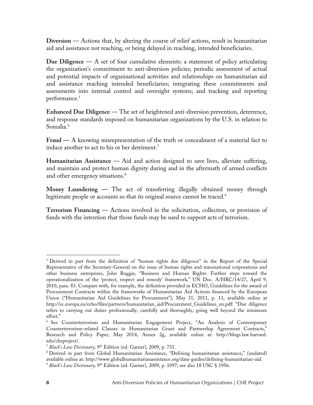Diversion — Actions that, by altering the course of relief actions, result in humanitarian aid and assistance not reaching, or being delayed in reaching, intended beneficiaries.

**Due Diligence** — A set of four cumulative elements: a statement of policy articulating the organization's commitment to anti-diversion policies; periodic assessment of actual and potential impacts of organizational activities and relationships on humanitarian aid and assistance reaching intended beneficiaries; integrating these commitments and assessments into internal control and oversight systems; and tracking and reporting performance.5

**Enhanced Due Diligence** — The set of heightened anti-diversion prevention, deterrence, and response standards imposed on humanitarian organizations by the U.S. in relation to Somalia.6

**Fraud —** A knowing misrepresentation of the truth or concealment of a material fact to induce another to act to his or her detriment.<sup>7</sup>

**Humanitarian Assistance** — Aid and action designed to save lives, alleviate suffering, and maintain and protect human dignity during and in the aftermath of armed conflicts and other emergency situations.<sup>8</sup>

**Money Laundering —** The act of transferring illegally obtained money through legitimate people or accounts so that its original source cannot be traced. $9$ 

Terrorism Financing — Actions involved in the solicitation, collection, or provision of funds with the intention that those funds may be used to support acts of terrorism.

<sup>&</sup>lt;sup>5</sup> Derived in part from the definition of "human rights due diligence" in the Report of the Special Representative of the Secretary-General on the issue of human rights and transnational corporations and other business enterprises, John Ruggie, "Business and Human Rights: Further steps toward the operationalization of the 'protect, respect and remedy' framework," UN Doc. A/HRC/14/27, April 9, 2010, para. 83. Compare with, for example, the definition provided in ECHO, Guidelines for the award of Procurement Contracts within the frameworks of Humanitarian Aid Actions financed by the European Union ("Humanitarian Aid Guidelines for Procurement"), May 31, 2011, p. 13, available online at http://ec.europa.eu/echo/files/partners/humanitarian\_aid/Procurement\_Guidelines\_en.pdf: "Due diligence refers to carrying out duties professionally, carefully and thoroughly, going well beyond the minimum effort."

<sup>6</sup> See Counterterrorism and Humanitarian Engagement Project, "An Analysis of Contemporary Counterterrorism-related Clauses in Humanitarian Grant and Partnership Agreement Contracts," [Research and Policy Paper, May 2014, Annex 2g, available online at: http://blogs.law.harvard.](http://blogs.law.harvard.edu/cheproject/)

edu/cheproject/.<br><sup>7</sup> *Black's Law Dictionary*, <sup>9th</sup> Edition (ed. Garner), 2009, p. 731.<br><sup>8</sup> Derived in part from Global Humanitarian Assistance, "Defining humanitarian assistance," (undated) available online at: http://www.globalhumanitarianassistance.org/data-guides/defining-humanitarian-aid. 9 *Black's Law Dictionary,* 9th Edition (ed. Garner), 2009, p. 1097; see also 18 USC § 1956.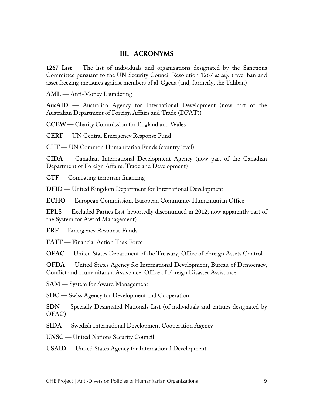#### **III. ACRONYMS**

**1267 List** — The list of individuals and organizations designated by the Sanctions Committee pursuant to the UN Security Council Resolution 1267 *et seq*. travel ban and asset freezing measures against members of al-Qaeda (and, formerly, the Taliban)

**AML** — Anti-Money Laundering

**AusAID** — Australian Agency for International Development (now part of the Australian Department of Foreign Affairs and Trade (DFAT))

**CCEW** — Charity Commission for England and Wales

**CERF** — UN Central Emergency Response Fund

**CHF** — UN Common Humanitarian Funds (country level)

**CIDA** — Canadian International Development Agency (now part of the Canadian Department of Foreign Affairs, Trade and Development)

**CTF** — Combating terrorism financing

**DFID** — United Kingdom Department for International Development

**ECHO** — European Commission, European Community Humanitarian Office

**EPLS** — Excluded Parties List (reportedly discontinued in 2012; now apparently part of the System for Award Management)

**ERF** — Emergency Response Funds

**FATF** — Financial Action Task Force

**OFAC** — United States Department of the Treasury, Office of Foreign Assets Control

**OFDA** — United States Agency for International Development, Bureau of Democracy, Conflict and Humanitarian Assistance, Office of Foreign Disaster Assistance

**SAM** — System for Award Management

**SDC** — Swiss Agency for Development and Cooperation

**SDN** — Specially Designated Nationals List (of individuals and entities designated by OFAC)

**SIDA** — Swedish International Development Cooperation Agency

**UNSC** — United Nations Security Council

**USAID** — United States Agency for International Development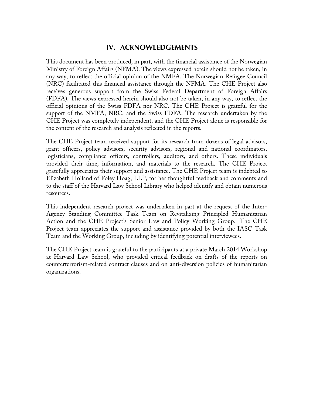#### **IV. ACKNOWLEDGEMENTS**

This document has been produced, in part, with the financial assistance of the Norwegian Ministry of Foreign Affairs (NFMA). The views expressed herein should not be taken, in any way, to reflect the official opinion of the NMFA. The Norwegian Refugee Council (NRC) facilitated this financial assistance through the NFMA. The CHE Project also receives generous support from the Swiss Federal Department of Foreign Affairs (FDFA). The views expressed herein should also not be taken, in any way, to reflect the official opinions of the Swiss FDFA nor NRC. The CHE Project is grateful for the support of the NMFA, NRC, and the Swiss FDFA. The research undertaken by the CHE Project was completely independent, and the CHE Project alone is responsible for the content of the research and analysis reflected in the reports.

The CHE Project team received support for its research from dozens of legal advisors, grant officers, policy advisors, security advisors, regional and national coordinators, logisticians, compliance officers, controllers, auditors, and others. These individuals provided their time, information, and materials to the research. The CHE Project gratefully appreciates their support and assistance. The CHE Project team is indebted to Elizabeth Holland of Foley Hoag, LLP, for her thoughtful feedback and comments and to the staff of the Harvard Law School Library who helped identify and obtain numerous resources.

This independent research project was undertaken in part at the request of the Inter-Agency Standing Committee Task Team on Revitalizing Principled Humanitarian Action and the CHE Project's Senior Law and Policy Working Group. The CHE Project team appreciates the support and assistance provided by both the IASC Task Team and the Working Group, including by identifying potential interviewees.

The CHE Project team is grateful to the participants at a private March 2014 Workshop at Harvard Law School, who provided critical feedback on drafts of the reports on counterterrorism-related contract clauses and on anti-diversion policies of humanitarian organizations.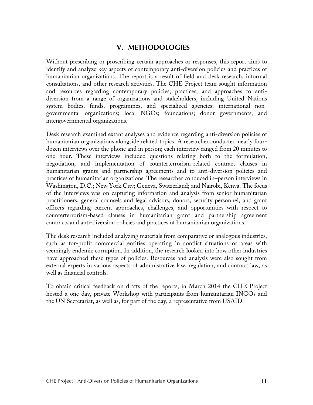#### **V. METHODOLOGIES**

Without prescribing or proscribing certain approaches or responses, this report aims to identify and analyze key aspects of contemporary anti-diversion policies and practices of humanitarian organizations. The report is a result of field and desk research, informal consultations, and other research activities. The CHE Project team sought information and resources regarding contemporary policies, practices, and approaches to antidiversion from a range of organizations and stakeholders, including United Nations system bodies, funds, programmes, and specialized agencies; international nongovernmental organizations; local NGOs; foundations; donor governments; and intergovernmental organizations.

Desk research examined extant analyses and evidence regarding anti-diversion policies of humanitarian organizations alongside related topics. A researcher conducted nearly fourdozen interviews over the phone and in person; each interview ranged from 20 minutes to one hour. These interviews included questions relating both to the formulation, negotiation, and implementation of counterterrorism-related contract clauses in humanitarian grants and partnership agreements and to anti-diversion policies and practices of humanitarian organizations. The researcher conduced in–person interviews in Washington, D.C.; New York City; Geneva, Switzerland; and Nairobi, Kenya. The focus of the interviews was on capturing information and analysis from senior humanitarian practitioners, general counsels and legal advisors, donors, security personnel, and grant officers regarding current approaches, challenges, and opportunities with respect to counterterrorism-based clauses in humanitarian grant and partnership agreement contracts and anti-diversion policies and practices of humanitarian organizations.

The desk research included analyzing materials from comparative or analogous industries, such as for-profit commercial entities operating in conflict situations or areas with seemingly endemic corruption. In addition, the research looked into how other industries have approached these types of policies. Resources and analysis were also sought from external experts in various aspects of administrative law, regulation, and contract law, as well as financial controls.

To obtain critical feedback on drafts of the reports, in March 2014 the CHE Project hosted a one-day, private Workshop with participants from humanitarian INGOs and the UN Secretariat, as well as, for part of the day, a representative from USAID.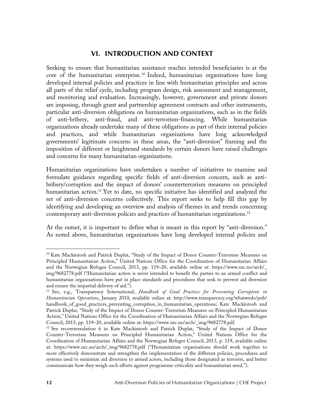#### **VI. INTRODUCTION AND CONTEXT**

Seeking to ensure that humanitarian assistance reaches intended beneficiaries is at the core of the humanitarian enterprise. <sup>10</sup> Indeed, humanitarian organizations have long developed internal policies and practices in line with humanitarian principles and across all parts of the relief cycle, including program design, risk assessment and management, and monitoring and evaluation. Increasingly, however, government and private donors are imposing, through grant and partnership agreement contracts and other instruments, particular anti-diversion obligations on humanitarian organizations, such as in the fields of anti-bribery, anti-fraud, and anti-terrorism-financing. While humanitarian organizations already undertake many of these obligations as part of their internal policies and practices, and while humanitarian organizations have long acknowledged governments' legitimate concerns in these areas, the "anti-diversion" framing and the imposition of different or heightened standards by certain donors have raised challenges and concerns for many humanitarian organizations.

Humanitarian organizations have undertaken a number of initiatives to examine and formulate guidance regarding specific fields of anti-diversion concern, such as antibribery/corruption and the impact of donors' counterterrorism measures on principled humanitarian action.<sup>11</sup> Yet to date, no specific initiative has identified and analyzed the set of anti-diversion concerns collectively. This report seeks to help fill this gap by identifying and developing an overview and analysis of themes in and trends concerning contemporary anti-diversion policies and practices of humanitarian organizations. $^{\rm 12}$ 

At the outset, it is important to define what is meant in this report by "anti-diversion." As noted above, humanitarian organizations have long developed internal policies and

<sup>&</sup>lt;sup>10</sup> Kate Mackintosh and Patrick Duplat, "Study of the Impact of Donor Counter-Terrorism Measures on Principled Humanitarian Action," United Nations Office for the Coordination of Humanitarian Affairs and the Norwegian Refugee Council, 2013, pp. 119–20, available online at: https://www.nrc.no/arch/\_ img/9682778.pdf ("Humanitarian action is never intended to benefit the parties to an armed conflict and humanitarian organisations have put in place standards and procedures that seek to prevent aid diversion and ensure the impartial delivery of aid.").

<sup>11</sup> See, e.g., Transparency International, *Handbook of Good Practices for Preventing Corruption in Humanitarian Operations*, January 2010, available online at: http://www.transparency.org/whatwedo/pub/ [handbook\\_of\\_good\\_practices\\_preventing\\_corruption\\_in\\_humanitarian\\_operations; Kate Mackintosh and](http://www.transparency.org/whatwedo/pub/handbook_of_good_practices_preventing_corruption_in_humanitarian_operations)  Patrick Duplat, "Study of the Impact of Donor Counter-Terrorism Measures on Principled Humanitarian Action," United Nations Office for the Coordination of Humanitarian Affairs and the Norwegian Refugee Council, 2013, pp. 119–20, available online at: https://www.nrc.no/arch/\_img/9682778.pdf.

<sup>&</sup>lt;sup>12</sup> See recommendation 6 in Kate Mackintosh and Patrick Duplat, "Study of the Impact of Donor Counter-Terrorism Measures on Principled Humanitarian Action," United Nations Office for the Coordination of Humanitarian Affairs and the Norwegian Refugee Council, 2013, p. 119, available online at: https://www.nrc.no/arch/\_img/9682778.pdf ("Humanitarian organisations should work together to more effectively demonstrate and strengthen the implementation of the different policies, procedures and systems used to minimize aid diversion to armed actors, including those designated as terrorist, and better communicate how they weigh such efforts against programme criticality and humanitarian need.").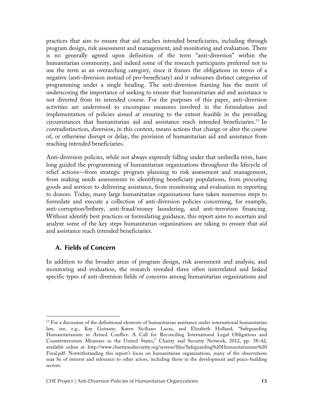practices that aim to ensure that aid reaches intended beneficiaries, including through program design, risk assessment and management, and monitoring and evaluation. There is no generally agreed upon definition of the term "anti-diversion" within the humanitarian community, and indeed some of the research participants preferred not to use the term as an overarching category, since it frames the obligations in terms of a negative (anti-diversion instead of pro-beneficiary) and it subsumes distinct categories of programming under a single heading. The anti-diversion framing has the merit of underscoring the importance of seeking to ensure that humanitarian aid and assistance is not diverted from its intended course. For the purposes of this paper, anti-diversion activities are understood to encompass measures involved in the formulation and implementation of policies aimed at ensuring to the extent feasible in the prevailing circumstances that humanitarian aid and assistance reach intended beneficiaries. <sup>13</sup> In contradistinction, diversion, in this context, means actions that change or alter the course of, or otherwise disrupt or delay, the provision of humanitarian aid and assistance from reaching intended beneficiaries.

Anti-diversion policies, while not always expressly falling under that umbrella term, have long guided the programming of humanitarian organizations throughout the lifecycle of relief actions—from strategic program planning to risk assessment and management, from making needs assessments to identifying beneficiary populations, from procuring goods and services to delivering assistance, from monitoring and evaluation to reporting to donors. Today, many large humanitarian organizations have taken numerous steps to formulate and execute a collection of anti-diversion policies concerning, for example, anti-corruption/bribery, anti-fraud/money laundering, and anti-terrorism financing. Without identify best practices or formulating guidance, this report aims to ascertain and analyze some of the key steps humanitarian organizations are taking to ensure that aid and assistance reach intended beneficiaries.

#### **A. Fields of Concern**

In addition to the broader areas of program design, risk assessment and analysis, and monitoring and evaluation, the research revealed three often interrelated and linked specific types of anti-diversion fields of concerns among humanitarian organizations and

<sup>&</sup>lt;sup>13</sup> For a discussion of the definitional elements of humanitarian assistance under international humanitarian law, see, e.g., Kay Guinane, Karen Siciliano Lucas, and Elizabeth Holland, "Safeguarding Humanitarianism in Armed Conflict: A Call for Reconciling International Legal Obligations and Counterterrorism Measures in the United States," Charity and Security Network, 2012, pp. 38–42, [available online at: http://www.charityandsecurity.org/system/files/Safeguarding%20Humanitarianism%20](http://www.charityandsecurity.org/system/files/Safeguarding%20Humanitarianism%20Final.pdf) Final.pdf. Notwithstanding this report's focus on humanitarian organizations, many of the observations may be of interest and relevance to other actors, including those in the development and peace-building sectors.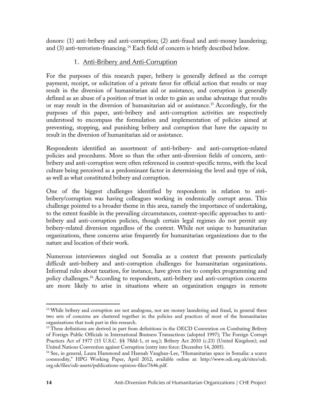donors: (1) anti-bribery and anti-corruption; (2) anti-fraud and anti-money laundering; and (3) anti-terrorism-financing.14 Each field of concern is briefly described below.

#### 1. Anti-Bribery and Anti-Corruption

For the purposes of this research paper, bribery is generally defined as the corrupt payment, receipt, or solicitation of a private favor for official action that results or may result in the diversion of humanitarian aid or assistance, and corruption is generally defined as an abuse of a position of trust in order to gain an undue advantage that results or may result in the diversion of humanitarian aid or assistance.15 Accordingly, for the purposes of this paper, anti-bribery and anti-corruption activities are respectively understood to encompass the formulation and implementation of policies aimed at preventing, stopping, and punishing bribery and corruption that have the capacity to result in the diversion of humanitarian aid or assistance.

Respondents identified an assortment of anti-bribery- and anti-corruption-related policies and procedures. More so than the other anti-diversion fields of concern, antibribery and anti-corruption were often referenced in context-specific terms, with the local culture being perceived as a predominant factor in determining the level and type of risk, as well as what constituted bribery and corruption.

One of the biggest challenges identified by respondents in relation to antibribery/corruption was having colleagues working in endemically corrupt areas. This challenge pointed to a broader theme in this area, namely the importance of undertaking, to the extent feasible in the prevailing circumstances, context-specific approaches to antibribery and anti-corruption policies, though certain legal regimes do not permit any bribery-related diversion regardless of the context. While not unique to humanitarian organizations, these concerns arise frequently for humanitarian organizations due to the nature and location of their work.

Numerous interviewees singled out Somalia as a context that presents particularly difficult anti-bribery and anti-corruption challenges for humanitarian organizations. Informal rules about taxation, for instance, have given rise to complex programming and policy challenges.16 According to respondents, anti-bribery and anti-corruption concerns are more likely to arise in situations where an organization engages in remote

<sup>&</sup>lt;sup>14</sup> While bribery and corruption are not analogous, nor are money laundering and fraud, in general these two sets of concerns are clustered together in the policies and practices of most of the humanitarian organizations that took part in this research.

<sup>&</sup>lt;sup>15</sup> These definitions are derived in part from definitions in the OECD Convention on Combating Bribery of Foreign Public Officials in International Business Transactions (adopted 1997); The Foreign Corrupt Practices Act of 1977 (15 U.S.C. §§ 78dd-1, et seq.); Bribery Act 2010 (c.23) (United Kingdom); and United Nations Convention against Corruption (entry into force: December 14, 2005).

<sup>16</sup> See, in general, Laura Hammond and Hannah Vaughan-Lee, "Humanitarian space in Somalia: a scarce [commodity," HPG Working Paper, April 2012, available online at: http://www.odi.org.uk/sites/odi.](http://www.odi.org.uk/sites/odi.org.uk/files/odi-assets/publications-opinion-files/7646.pdf) org.uk/files/odi-assets/publications-opinion-files/7646.pdf.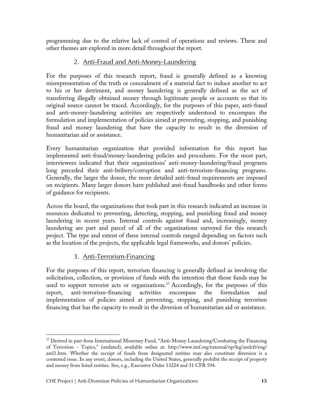programming due to the relative lack of control of operations and reviews. These and other themes are explored in more detail throughout the report.

#### 2. Anti-Fraud and Anti-Money-Laundering

For the purposes of this research report, fraud is generally defined as a knowing misrepresentation of the truth or concealment of a material fact to induce another to act to his or her detriment, and money laundering is generally defined as the act of transferring illegally obtained money through legitimate people or accounts so that its original source cannot be traced. Accordingly, for the purposes of this paper, anti-fraud and anti-money-laundering activities are respectively understood to encompass the formulation and implementation of policies aimed at preventing, stopping, and punishing fraud and money laundering that have the capacity to result in the diversion of humanitarian aid or assistance.

Every humanitarian organization that provided information for this report has implemented anti-fraud/money-laundering policies and procedures. For the most part, interviewees indicated that their organizations' anti-money-laundering/fraud programs long preceded their anti-bribery/corruption and anti-terrorism-financing programs. Generally, the larger the donor, the more detailed anti-fraud requirements are imposed on recipients. Many larger donors have published anti-fraud handbooks and other forms of guidance for recipients.

Across the board, the organizations that took part in this research indicated an increase in resources dedicated to preventing, detecting, stopping, and punishing fraud and money laundering in recent years. Internal controls against fraud and, increasingly, money laundering are part and parcel of all of the organizations surveyed for this research project. The type and extent of these internal controls ranged depending on factors such as the location of the projects, the applicable legal frameworks, and donors' policies.

#### 3. Anti-Terrorism-Financing

For the purposes of this report, terrorism financing is generally defined as involving the solicitation, collection, or provision of funds with the intention that those funds may be used to support terrorist acts or organizations.<sup>17</sup> Accordingly, for the purposes of this report, anti-terrorism-financing activities encompass the formulation and implementation of policies aimed at preventing, stopping, and punishing terrorism financing that has the capacity to result in the diversion of humanitarian aid or assistance.

<sup>&</sup>lt;sup>17</sup> Derived in part from International Monetary Fund, "Anti-Money Laundering/Combating the Financing of Terrorism - Topics," (undated), available online at: http://www.imf.org/external/np/leg/amlcft/eng/ [aml1.htm. Whether the receipt of funds from designated entities may also constitute diversion is](http://www.imf.org/external/np/leg/amlcft/eng/aml1.htm) a contested issue. In any event, donors, including the United States, generally prohibit the receipt of property and money from listed entities. See, e.g., Executive Order 13224 and 31 CFR 594.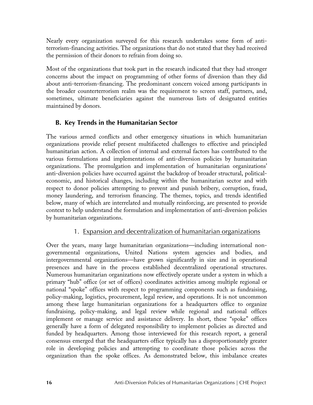Nearly every organization surveyed for this research undertakes some form of antiterrorism-financing activities. The organizations that do not stated that they had received the permission of their donors to refrain from doing so.

Most of the organizations that took part in the research indicated that they had stronger concerns about the impact on programming of other forms of diversion than they did about anti-terrorism-financing. The predominant concern voiced among participants in the broader counterterrorism realm was the requirement to screen staff, partners, and, sometimes, ultimate beneficiaries against the numerous lists of designated entities maintained by donors.

#### **B. Key Trends in the Humanitarian Sector**

The various armed conflicts and other emergency situations in which humanitarian organizations provide relief present multifaceted challenges to effective and principled humanitarian action. A collection of internal and external factors has contributed to the various formulations and implementations of anti-diversion policies by humanitarian organizations. The promulgation and implementation of humanitarian organizations' anti-diversion policies have occurred against the backdrop of broader structural, politicaleconomic, and historical changes, including within the humanitarian sector and with respect to donor policies attempting to prevent and punish bribery, corruption, fraud, money laundering, and terrorism financing. The themes, topics, and trends identified below, many of which are interrelated and mutually reinforcing, are presented to provide context to help understand the formulation and implementation of anti-diversion policies by humanitarian organizations.

#### 1. Expansion and decentralization of humanitarian organizations

Over the years, many large humanitarian organizations—including international nongovernmental organizations, United Nations system agencies and bodies, and intergovernmental organizations—have grown significantly in size and in operational presences and have in the process established decentralized operational structures. Numerous humanitarian organizations now effectively operate under a system in which a primary "hub" office (or set of offices) coordinates activities among multiple regional or national "spoke" offices with respect to programming components such as fundraising, policy-making, logistics, procurement, legal review, and operations. It is not uncommon among these large humanitarian organizations for a headquarters office to organize fundraising, policy-making, and legal review while regional and national offices implement or manage service and assistance delivery. In short, these "spoke" offices generally have a form of delegated responsibility to implement policies as directed and funded by headquarters. Among those interviewed for this research report, a general consensus emerged that the headquarters office typically has a disproportionately greater role in developing policies and attempting to coordinate those policies across the organization than the spoke offices. As demonstrated below, this imbalance creates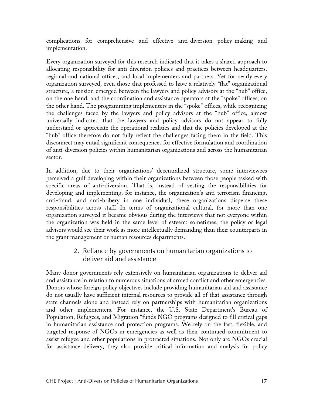complications for comprehensive and effective anti-diversion policy-making and implementation.

Every organization surveyed for this research indicated that it takes a shared approach to allocating responsibility for anti-diversion policies and practices between headquarters, regional and national offices, and local implementers and partners. Yet for nearly every organization surveyed, even those that professed to have a relatively "flat" organizational structure, a tension emerged between the lawyers and policy advisors at the "hub" office, on the one hand, and the coordination and assistance operators at the "spoke" offices, on the other hand. The programming implementers in the "spoke" offices, while recognizing the challenges faced by the lawyers and policy advisors at the "hub" office, almost universally indicated that the lawyers and policy advisors do not appear to fully understand or appreciate the operational realities and that the policies developed at the "hub" office therefore do not fully reflect the challenges facing them in the field. This disconnect may entail significant consequences for effective formulation and coordination of anti-diversion policies within humanitarian organizations and across the humanitarian sector.

In addition, due to their organizations' decentralized structure, some interviewees perceived a gulf developing within their organizations between those people tasked with specific areas of anti-diversion. That is, instead of vesting the responsibilities for developing and implementing, for instance, the organization's anti-terrorism-financing, anti-fraud, and anti-bribery in one individual, these organizations disperse these responsibilities across staff. In terms of organizational cultural, for more than one organization surveyed it became obvious during the interviews that not everyone within the organization was held in the same level of esteem: sometimes, the policy or legal advisors would see their work as more intellectually demanding than their counterparts in the grant management or human resources departments.

#### 2. Reliance by governments on humanitarian organizations to deliver aid and assistance

Many donor governments rely extensively on humanitarian organizations to deliver aid and assistance in relation to numerous situations of armed conflict and other emergencies. Donors whose foreign policy objectives include providing humanitarian aid and assistance do not usually have sufficient internal resources to provide all of that assistance through state channels alone and instead rely on partnerships with humanitarian organizations and other implementers. For instance, the U.S. State Department's Bureau of Population, Refugees, and Migration "funds NGO programs designed to fill critical gaps in humanitarian assistance and protection programs. We rely on the fast, flexible, and targeted response of NGOs in emergencies as well as their continued commitment to assist refugee and other populations in protracted situations. Not only are NGOs crucial for assistance delivery, they also provide critical information and analysis for policy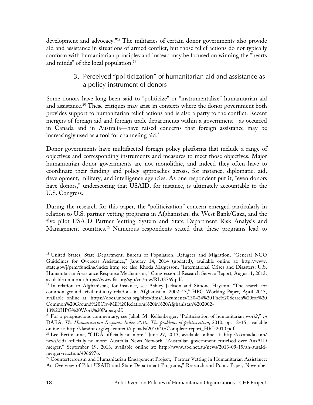development and advocacy."18 The militaries of certain donor governments also provide aid and assistance in situations of armed conflict, but those relief actions do not typically conform with humanitarian principles and instead may be focused on winning the "hearts and minds" of the local population.19

#### 3. Perceived "politicization" of humanitarian aid and assistance as a policy instrument of donors

Some donors have long been said to "politicize" or "instrumentalize" humanitarian aid and assistance.<sup>20</sup> These critiques may arise in contexts where the donor government both provides support to humanitarian relief actions and is also a party to the conflict. Recent mergers of foreign aid and foreign trade departments within a government—as occurred in Canada and in Australia—have raised concerns that foreign assistance may be increasingly used as a tool for channeling aid. $21$ 

Donor governments have multifaceted foreign policy platforms that include a range of objectives and corresponding instruments and measures to meet those objectives. Major humanitarian donor governments are not monolithic, and indeed they often have to coordinate their funding and policy approaches across, for instance, diplomatic, aid, development, military, and intelligence agencies. As one respondent put it, "even donors have donors," underscoring that USAID, for instance, is ultimately accountable to the U.S. Congress.

During the research for this paper, the "politicization" concern emerged particularly in relation to U.S. partner-vetting programs in Afghanistan, the West Bank/Gaza, and the five pilot USAID Partner Vetting System and State Department Risk Analysis and Management countries.<sup>22</sup> Numerous respondents stated that these programs lead to

<sup>&</sup>lt;sup>18</sup> United States, State Department, Bureau of Population, Refugees and Migration, "General NGO Guidelines for Overseas Assistance," January 14, 2014 (updated), available online at: http://www. state.gov/j/prm/funding/index.htm; see also Rhoda Margesson, "International Crises and Disasters: U.S. Humanitarian Assistance Response Mechanisms," Congressional Research Service Report, August 1, 2013,

available online at: https://www.fas.org/sgp/crs/row/RL33769.pdf. 19 In relation to Afghanistan, for instance, see Ashley Jackson and Simone Haysom, "The search for common ground: civil–military relations in Afghanistan, 2002–13," HPG Working Paper, April 2013, [available online at: https://docs.unocha.org/sites/dms/Documents/130424%20The%20Search%20for%2](https://docs.unocha.org/sites/dms/Documents/130424%20The%20Search%20for%20Common%20Ground%20Civ-Mil%20Relations%20in%20Afghanistan%202002-13%20HPG%20Work%20Paper.pdf.)0 Common%20Ground%20Civ-Mil%20Relations%20in%20Afghanistan%202002-

<sup>13%20</sup>HPG%20Work%20Paper.pdf.

<sup>20</sup> For a perspicacious commentary, see Jakob M. Kellenberger, "Politicisation of humanitarian work?," *in* DARA, *The Humanitarian Response Index 2010: The problems of politicisation*, 2010, pp. 12–15, available online at: http://daraint.org/wp-content/uploads/2010/10/Complete-report\_HRI-2010.pdf.

<sup>21</sup> Lee Berthiaume, "CIDA officially no more," June 27, 2013, available online at: [http://o.canada.com/](http://o.canada.com/news/cida-officially-no-more) [news/cida-officially-no-more;](http://o.canada.com/news/cida-officially-no-more) Australia News Network, "Australian government criticised over AusAID merger," September 19, 2013, available online at: http://www.abc.net.au/news/2013-09-19/an-ausaid-

merger-reaction/4966976.<br><sup>22</sup> Counterterrorism and Humanitarian Engagement Project, "Partner Vetting in Humanitarian Assistance: An Overview of Pilot USAID and State Department Programs," Research and Policy Paper, November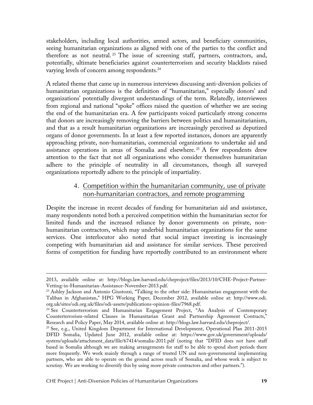stakeholders, including local authorities, armed actors, and beneficiary communities, seeing humanitarian organizations as aligned with one of the parties to the conflict and therefore as not neutral. <sup>23</sup> The issue of screening staff, partners, contractors, and, potentially, ultimate beneficiaries against counterterrorism and security blacklists raised varying levels of concern among respondents.<sup>24</sup>

A related theme that came up in numerous interviews discussing anti-diversion policies of humanitarian organizations is the definition of "humanitarian," especially donors' and organizations' potentially divergent understandings of the term. Relatedly, interviewees from regional and national "spoke" offices raised the question of whether we are seeing the end of the humanitarian era. A few participants voiced particularly strong concerns that donors are increasingly removing the barriers between politics and humanitarianism, and that as a result humanitarian organizations are increasingly perceived as deputized organs of donor governments. In at least a few reported instances, donors are apparently approaching private, non-humanitarian, commercial organizations to undertake aid and assistance operations in areas of Somalia and elsewhere.<sup>25</sup> A few respondents drew attention to the fact that not all organizations who consider themselves humanitarian adhere to the principle of neutrality in all circumstances, though all surveyed organizations reportedly adhere to the principle of impartiality.

#### 4. Competition within the humanitarian community, use of private non-humanitarian contractors, and remote programming

Despite the increase in recent decades of funding for humanitarian aid and assistance, many respondents noted both a perceived competition within the humanitarian sector for limited funds and the increased reliance by donor governments on private, nonhumanitarian contractors, which may underbid humanitarian organizations for the same services. One interlocutor also noted that social impact investing is increasingly competing with humanitarian aid and assistance for similar services. These perceived forms of competition for funding have reportedly contributed to an environment where

 $\overline{a}$ 

<sup>2013,</sup> available online at: http://blogs.law.harvard.edu/cheproject/files/2013/10/CHE-Project-Partner-Vetting-in-Humanitarian-Assistance-November-2013.pdf.

<sup>&</sup>lt;sup>23</sup> Ashley Jackson and Antonio Giustozzi, "Talking to the other side: Humanitarian engagement with the [Taliban in Afghanistan," HPG Working Paper, December 2012, available online at: http://www.odi.](http://www.odi.org.uk/sites/odi.org.uk/files/odi-assets/publications-opinion-files/7968.pdf) org.uk/sites/odi.org.uk/files/odi-assets/publications-opinion-files/7968.pdf.

<sup>&</sup>lt;sup>24</sup> See Counterterrorism and Humanitarian Engagement Project, "An Analysis of Contemporary Counterterrorism-related Clauses in Humanitarian Grant and Partnership Agreement Contracts," Research and Policy Paper, May 2014, available online at: http://blogs.law.harvard.edu/cheproject/.

<sup>25</sup> See, e.g., United Kingdom Department for International Development, Operational Plan 2011-2015 [DFID Somalia, Updated June 2012, available online at: https://www.gov.uk/government/uploads/](https://www.gov.uk/government/uploads/system/uploads/attachment_data/file/67414/somalia-2011.pdf) system/uploads/attachment\_data/file/67414/somalia-2011.pdf (noting that "DFID does not have staff based in Somalia although we are making arrangements for staff to be able to spend short periods there more frequently. We work mainly through a range of trusted UN and non-governmental implementing partners, who are able to operate on the ground across much of Somalia, and whose work is subject to scrutiny. We are working to diversify this by using more private contractors and other partners.").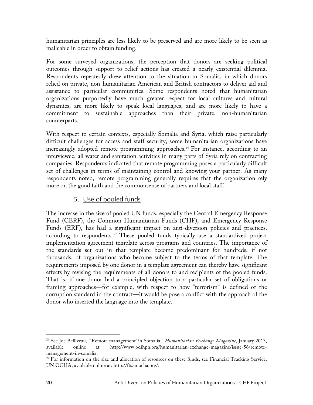humanitarian principles are less likely to be preserved and are more likely to be seen as malleable in order to obtain funding.

For some surveyed organizations, the perception that donors are seeking political outcomes through support to relief actions has created a nearly existential dilemma. Respondents repeatedly drew attention to the situation in Somalia, in which donors relied on private, non-humanitarian American and British contractors to deliver aid and assistance to particular communities. Some respondents noted that humanitarian organizations purportedly have much greater respect for local cultures and cultural dynamics, are more likely to speak local languages, and are more likely to have a commitment to sustainable approaches than their private, non-humanitarian counterparts.

With respect to certain contexts, especially Somalia and Syria, which raise particularly difficult challenges for access and staff security, some humanitarian organizations have increasingly adopted remote-programming approaches.<sup>26</sup> For instance, according to an interviewee, all water and sanitation activities in many parts of Syria rely on contracting companies. Respondents indicated that remote programming poses a particularly difficult set of challenges in terms of maintaining control and knowing your partner. As many respondents noted, remote programming generally requires that the organization rely more on the good faith and the commonsense of partners and local staff.

#### 5. Use of pooled funds

The increase in the size of pooled UN funds, especially the Central Emergency Response Fund (CERF), the Common Humanitarian Funds (CHF), and Emergency Response Funds (ERF), has had a significant impact on anti-diversion policies and practices, according to respondents.<sup>27</sup> These pooled funds typically use a standardized project implementation agreement template across programs and countries. The importance of the standards set out in that template become predominant for hundreds, if not thousands, of organizations who become subject to the terms of that template. The requirements imposed by one donor in a template agreement can thereby have significant effects by revising the requirements of all donors to and recipients of the pooled funds. That is, if one donor had a principled objection to a particular set of obligations or framing approaches—for example, with respect to how "terrorism" is defined or the corruption standard in the contract—it would be pose a conflict with the approach of the donor who inserted the language into the template.

 <sup>26</sup> See Joe Belliveau, "'Remote management' in Somalia," *Humanitarian Exchange Magazine*, January 2013, available online at: http://www.odihpn.org/humanitarian-exchange-magazine/issue-56/remotemanagement-in-somalia.

<sup>&</sup>lt;sup>27</sup> For information on the size and allocation of resources on these funds, see Financial Tracking Service, UN OCHA, available online at: http://fts.unocha.org/.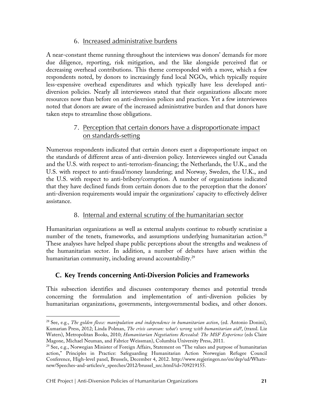#### 6. Increased administrative burdens

A near-constant theme running throughout the interviews was donors' demands for more due diligence, reporting, risk mitigation, and the like alongside perceived flat or decreasing overhead contributions. This theme corresponded with a move, which a few respondents noted, by donors to increasingly fund local NGOs, which typically require less-expensive overhead expenditures and which typically have less developed antidiversion policies. Nearly all interviewees stated that their organizations allocate more resources now than before on anti-diversion polices and practices. Yet a few interviewees noted that donors are aware of the increased administrative burden and that donors have taken steps to streamline those obligations.

#### 7. Perception that certain donors have a disproportionate impact on standards-setting

Numerous respondents indicated that certain donors exert a disproportionate impact on the standards of different areas of anti-diversion policy. Interviewees singled out Canada and the U.S. with respect to anti-terrorism-financing; the Netherlands, the U.K., and the U.S. with respect to anti-fraud/money laundering; and Norway, Sweden, the U.K., and the U.S. with respect to anti-bribery/corruption. A number of organizations indicated that they have declined funds from certain donors due to the perception that the donors' anti-diversion requirements would impair the organizations' capacity to effectively deliver assistance.

#### 8. Internal and external scrutiny of the humanitarian sector

Humanitarian organizations as well as external analysts continue to robustly scrutinize a number of the tenets, frameworks, and assumptions underlying humanitarian action.<sup>28</sup> These analyses have helped shape public perceptions about the strengths and weakness of the humanitarian sector. In addition, a number of debates have arisen within the humanitarian community, including around accountability.<sup>29</sup>

#### **C. Key Trends concerning Anti-Diversion Policies and Frameworks**

This subsection identifies and discusses contemporary themes and potential trends concerning the formulation and implementation of anti-diversion policies by humanitarian organizations, governments, intergovernmental bodies, and other donors.

 <sup>28</sup> See, e.g., *The golden fleece: manipulation and independence in humanitarian action*, (ed. Antonio Donini), Kumarian Press, 2012; Linda Polman, *The crisis caravan: what's wrong with humanitarian aid?*, (transl. Liz Waters), Metropolitan Books, 2010; *Humanitarian Negotiations Revealed: The MSF Experience* (eds Claire Magone, Michael Neuman, and Fabrice Weissman), Columbia University Press, 2011.

<sup>29</sup> See, e.g., Norwegian Minister of Foreign Affairs, Statement on "The values and purpose of humanitarian action," Principles in Practice: Safeguarding Humanitarian Action Norwegian Refugee Council Conference, High-level panel, Brussels, December 4, 2012. http://www.regjeringen.no/en/dep/ud/Whatsnew/Speeches-and-articles/e\_speeches/2012/brussel\_nrc.html?id=709219155.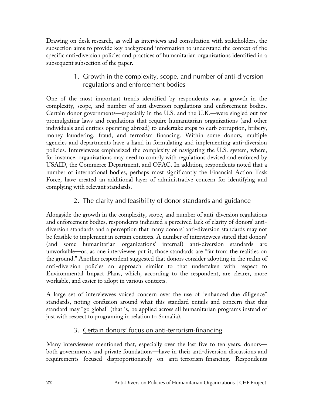Drawing on desk research, as well as interviews and consultation with stakeholders, the subsection aims to provide key background information to understand the context of the specific anti-diversion policies and practices of humanitarian organizations identified in a subsequent subsection of the paper.

#### 1. Growth in the complexity, scope, and number of anti-diversion regulations and enforcement bodies

One of the most important trends identified by respondents was a growth in the complexity, scope, and number of anti-diversion regulations and enforcement bodies. Certain donor governments—especially in the U.S. and the U.K.—were singled out for promulgating laws and regulations that require humanitarian organizations (and other individuals and entities operating abroad) to undertake steps to curb corruption, bribery, money laundering, fraud, and terrorism financing. Within some donors, multiple agencies and departments have a hand in formulating and implementing anti-diversion policies. Interviewees emphasized the complexity of navigating the U.S. system, where, for instance, organizations may need to comply with regulations devised and enforced by USAID, the Commerce Department, and OFAC. In addition, respondents noted that a number of international bodies, perhaps most significantly the Financial Action Task Force, have created an additional layer of administrative concern for identifying and complying with relevant standards.

#### 2. The clarity and feasibility of donor standards and guidance

Alongside the growth in the complexity, scope, and number of anti-diversion regulations and enforcement bodies, respondents indicated a perceived lack of clarity of donors' antidiversion standards and a perception that many donors' anti-diversion standards may not be feasible to implement in certain contexts. A number of interviewees stated that donors' (and some humanitarian organizations' internal) anti-diversion standards are unworkable—or, as one interviewee put it, those standards are "far from the realities on the ground." Another respondent suggested that donors consider adopting in the realm of anti-diversion policies an approach similar to that undertaken with respect to Environmental Impact Plans, which, according to the respondent, are clearer, more workable, and easier to adopt in various contexts.

A large set of interviewees voiced concern over the use of "enhanced due diligence" standards, noting confusion around what this standard entails and concern that this standard may "go global" (that is, be applied across all humanitarian programs instead of just with respect to programing in relation to Somalia).

#### 3. Certain donors' focus on anti-terrorism-financing

Many interviewees mentioned that, especially over the last five to ten years, donors both governments and private foundations—have in their anti-diversion discussions and requirements focused disproportionately on anti-terrorism-financing. Respondents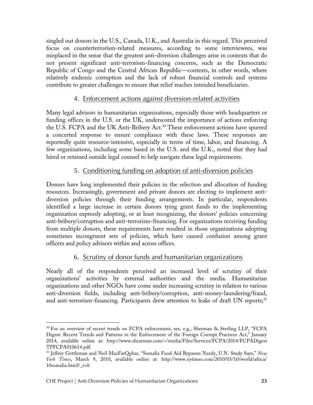singled out donors in the U.S., Canada, U.K., and Australia in this regard. This perceived focus on counterterrorism-related measures, according to some interviewees, was misplaced in the sense that the greatest anti-diversion challenges arise in contexts that do not present significant anti-terrorism-financing concerns, such as the Democratic Republic of Congo and the Central African Republic—contexts, in other words, where relatively endemic corruption and the lack of robust financial controls and systems contribute to greater challenges to ensure that relief reaches intended beneficiaries.

#### 4. Enforcement actions against diversion-related activities

Many legal advisors in humanitarian organizations, especially those with headquarters or funding offices in the U.S. or the UK, underscored the importance of actions enforcing the U.S. FCPA and the UK Anti-Bribery Act.30 These enforcement actions have spurred a concerted response to ensure compliance with these laws. These responses are reportedly quite resource-intensive, especially in terms of time, labor, and financing. A few organizations, including some based in the U.S. and the U.K., noted that they had hired or retained outside legal counsel to help navigate these legal requirements.

#### 5. Conditioning funding on adoption of anti-diversion policies

Donors have long implemented their policies in the selection and allocation of funding resources. Increasingly, government and private donors are electing to implement antidiversion policies through their funding arrangements. In particular, respondents identified a large increase in certain donors tying grant funds to the implementing organization expressly adopting, or at least recognizing, the donors' policies concerning anti-bribery/corruption and anti-terrorism-financing. For organizations receiving funding from multiple donors, these requirements have resulted in those organizations adopting sometimes incongruent sets of policies, which have caused confusion among grant officers and policy advisors within and across offices.

#### 6. Scrutiny of donor funds and humanitarian organizations

Nearly all of the respondents perceived an increased level of scrutiny of their organizations' activities by external authorities and the media. Humanitarian organizations and other NGOs have come under increasing scrutiny in relation to various anti-diversion fields, including anti-bribery/corruption, anti-money-laundering/fraud, and anti-terrorism-financing. Participants drew attention to leaks of draft UN reports;<sup>31</sup>

<sup>&</sup>lt;sup>30</sup> For an overview of recent trends on FCPA enforcement, see, e.g., Sherman & Sterling LLP, "FCPA Digest: Recent Trends and Patterns in the Enforcement of the Foreign Corrupt Practices Act," January [2014, available online at: http://www.shearman.com/~/media/Files/Services/FCPA/2014/FCPADigest](http://www.shearman.com/~/media/Files/Services/FCPA/2014/FCPADigestTPFCPA010614.pdf)

TPFCPA010614.pdf. 31 Jeffrey Gettleman and Neil MacFarQuhar, "Somalia Food Aid Bypasses Needy, U.N. Study Says," *New York Times*[, March 9, 2010, available online at: http://www.nytimes.com/2010/03/10/world/africa/](http://www.nytimes.com/2010/03/10/world/africa/10somalia.html?_r=0) 10somalia.html?\_r=0.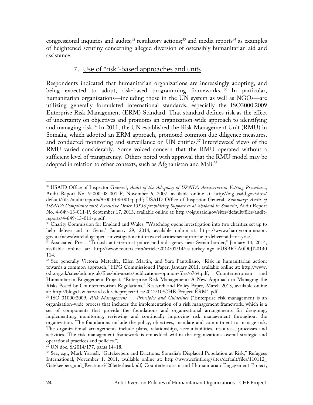congressional inquiries and audits;<sup>32</sup> regulatory actions;<sup>33</sup> and media reports<sup>34</sup> as examples of heightened scrutiny concerning alleged diversion of ostensibly humanitarian aid and assistance.

#### 7. Use of "risk"-based approaches and units

Respondents indicated that humanitarian organizations are increasingly adopting, and being expected to adopt, risk-based programming frameworks.<sup>35</sup> In particular, humanitarian organizations—including those in the UN system as well as NGOs—are utilizing generally formulated international standards, especially the ISO3000:2009 Enterprise Risk Management (ERM) Standard. That standard defines risk as the effect of uncertainty on objectives and promotes an organization-wide approach to identifying and managing risk.36 In 2011, the UN established the Risk Management Unit (RMU) in Somalia, which adopted an ERM approach, promoted common due diligence measures, and conducted monitoring and surveillance on UN entities.<sup>37</sup> Interviewees' views of the RMU varied considerably. Some voiced concern that the RMU operated without a sufficient level of transparency. Others noted with approval that the RMU model may be adopted in relation to other contexts, such as Afghanistan and Mali.<sup>38</sup>

 <sup>32</sup> USAID Office of Inspector General, *Audit of the Adequacy of USAID's Antiterrorism Vetting Procedures*, Audit Report No. 9-000-08-001-P, November 6, 2007, available online at: http://oig.usaid.gov/sites/ default/files/audit-reports/9-000-08-001-p.pdf; USAID Office of Inspector General, *Summary: Audit of USAID's Compliance with Executive Order 13536 prohibiting Support to al-Shabaab in Somalia*, Audit Report No. 4-649-13-011-P, September 17, 2013, available online at: http://oig.usaid.gov/sites/default/files/audit-

reports/4-649-13-011-p.pdf.<br><sup>33</sup> Charity Commission for England and Wales, "Watchdog opens investigation into two charities set up to [help deliver aid to Syria," January 29, 2014, available online at: https://www.charitycommission.](https://www.charitycommission.gov.uk/news/watchdog-opens-investigation-into-two-charities-set-up-to-help-deliver-aid-to-syria/)<br>gov.uk/news/watchdog-opens-investigation-into-two-charities-set-up-to-help-deliver-aid-to-syria/.

<sup>&</sup>lt;sup>34</sup> Associated Press, "Turkish anti-terrorist police raid aid agency near Syrian border," January 14, 2014, [available online at: http://www.reuters.com/article/2014/01/14/us-turkey-ngo-idUSBREA0D0JI20140](http://www.reuters.com/article/2014/01/14/us-turkey-ngo-idUSBREA0D0JI20140114) 114.

<sup>35</sup> See generally Victoria Metcalfe, Ellen Martin, and Sara Pantuliano, "Risk in humanitarian action: [towards a common approach," HPG Commissioned Paper, January 2011, available online at: http://www.](http://www.odi.org.uk/sites/odi.org.uk/files/odi-assets/publications-opinion-files/6764.pdf) odi.org.uk/sites/odi.org.uk/files/odi-assets/publications-opinion-files/6764.pdf; Counterterrorism and Humanitarian Engagement Project, "Enterprise Risk Management: A New Approach to Managing the Risks Posed by Counterterrorism Regulations," Research and Policy Paper, March 2013, available online at: http://blogs.law.harvard.edu/cheproject/files/2012/10/CHE-Project-ERM1.pdf.

<sup>36</sup> ISO 31000:2009, *Risk Management — Principles and Guidelines* ("Enterprise risk management is an organization-wide process that includes the implementation of a risk management framework, which is a set of components that provide the foundations and organizational arrangements for designing, implementing, monitoring, reviewing and continually improving risk management throughout the organization. The foundations include the policy, objectives, mandate and commitment to manage risk. The organizational arrangements include plans, relationships, accountabilities, resources, processes and activities. The risk management framework is embedded within the organization's overall strategic and operational practices and policies.").<br><sup>37</sup> UN doc. S/2014/177, paras 14–18.

<sup>&</sup>lt;sup>38</sup> See, e.g., Mark Yarnell, "Gatekeepers and Evictions: Somalia's Displaced Population at Risk," Refugees [International, November 1, 2011, available online at: http://www.refintl.org/sites/default/files/110112\\_](http://www.refintl.org/sites/default/files/110112_Gatekeepers_and_Evictions%20letterhead.pdf) Gatekeepers\_and\_Evictions%20letterhead.pdf; Counterterrorism and Humanitarian Engagement Project,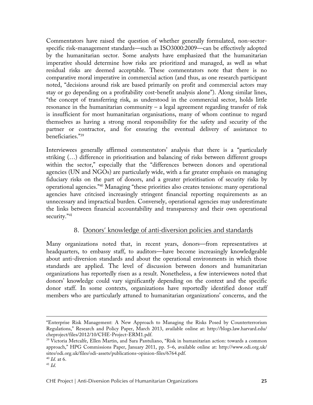Commentators have raised the question of whether generally formulated, non-sectorspecific risk-management standards—such as ISO3000:2009—can be effectively adopted by the humanitarian sector. Some analysts have emphasized that the humanitarian imperative should determine how risks are prioritized and managed, as well as what residual risks are deemed acceptable. These commentators note that there is no comparative moral imperative in commercial action (and thus, as one research participant noted, "decisions around risk are based primarily on profit and commercial actors may stay or go depending on a profitability cost-benefit analysis alone"). Along similar lines, "the concept of transferring risk, as understood in the commercial sector, holds little resonance in the humanitarian community – a legal agreement regarding transfer of risk is insufficient for most humanitarian organisations, many of whom continue to regard themselves as having a strong moral responsibility for the safety and security of the partner or contractor, and for ensuring the eventual delivery of assistance to beneficiaries."39

Interviewees generally affirmed commentators' analysis that there is a "particularly striking (…) difference in prioritisation and balancing of risks between different groups within the sector," especially that the "differences between donors and operational agencies (UN and NGOs) are particularly wide, with a far greater emphasis on managing fiduciary risks on the part of donors, and a greater prioritisation of security risks by operational agencies."40 Managing "these priorities also creates tensions: many operational agencies have critcised increasingly stringent financial reporting requirements as an unnecessary and impractical burden. Conversely, operational agencies may underestimate the links between financial accountability and transparency and their own operational security."<sup>41</sup>

#### 8. Donors' knowledge of anti-diversion policies and standards

Many organizations noted that, in recent years, donors—from representatives at headquarters, to embassy staff, to auditors—have become increasingly knowledgeable about anti-diversion standards and about the operational environments in which those standards are applied. The level of discussion between donors and humanitarian organizations has reportedly risen as a result. Nonetheless, a few interviewees noted that donors' knowledge could vary significantly depending on the context and the specific donor staff. In some contexts, organizations have reportedly identified donor staff members who are particularly attuned to humanitarian organizations' concerns, and the

 $\overline{a}$ 

<sup>&</sup>quot;Enterprise Risk Management: A New Approach to Managing the Risks Posed by Counterterrorism Regulations," Research and Policy Paper, March 2013, available online at: http://blogs.law.harvard.edu/ cheproject/files/2012/10/CHE-Project-ERM1.pdf.

<sup>39</sup> Victoria Metcalfe, Ellen Martin, and Sara Pantuliano, "Risk in humanitarian action: towards a common [approach," HPG Commissions Paper, January 2011, pp. 5–6, available online at: http://www.odi.org.uk/](http://www.odi.org.uk/sites/odi.org.uk/files/odi-assets/publications-opinion-files/6764.pdf) sites/odi.org.uk/files/odi-assets/publications-opinion-files/6764.pdf.

<sup>40</sup> *Id*. at 6. <sup>41</sup> *Id*.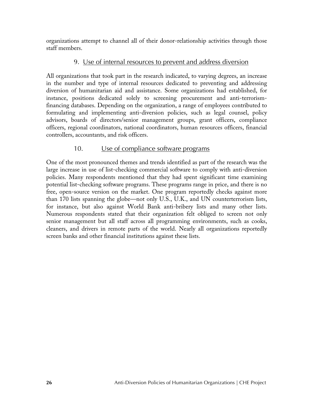organizations attempt to channel all of their donor-relationship activities through those staff members.

#### 9. Use of internal resources to prevent and address diversion

All organizations that took part in the research indicated, to varying degrees, an increase in the number and type of internal resources dedicated to preventing and addressing diversion of humanitarian aid and assistance. Some organizations had established, for instance, positions dedicated solely to screening procurement and anti-terrorismfinancing databases. Depending on the organization, a range of employees contributed to formulating and implementing anti-diversion policies, such as legal counsel, policy advisors, boards of directors/senior management groups, grant officers, compliance officers, regional coordinators, national coordinators, human resources officers, financial controllers, accountants, and risk officers.

#### 10. Use of compliance software programs

One of the most pronounced themes and trends identified as part of the research was the large increase in use of list-checking commercial software to comply with anti-diversion policies. Many respondents mentioned that they had spent significant time examining potential list-checking software programs. These programs range in price, and there is no free, open-source version on the market. One program reportedly checks against more than 170 lists spanning the globe—not only U.S., U.K., and UN counterterrorism lists, for instance, but also against World Bank anti-bribery lists and many other lists. Numerous respondents stated that their organization felt obliged to screen not only senior management but all staff across all programming environments, such as cooks, cleaners, and drivers in remote parts of the world. Nearly all organizations reportedly screen banks and other financial institutions against these lists.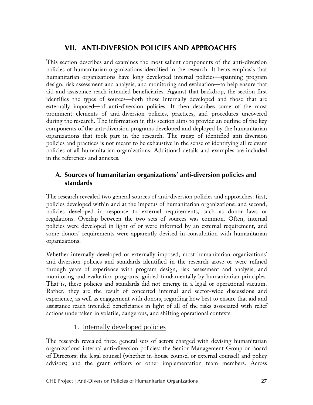#### **VII. ANTI-DIVERSION POLICIES AND APPROACHES**

This section describes and examines the most salient components of the anti-diversion policies of humanitarian organizations identified in the research. It bears emphasis that humanitarian organizations have long developed internal policies—spanning program design, risk assessment and analysis, and monitoring and evaluation—to help ensure that aid and assistance reach intended beneficiaries. Against that backdrop, the section first identifies the types of sources—both those internally developed and those that are externally imposed—of anti-diversion policies. It then describes some of the most prominent elements of anti-diversion policies, practices, and procedures uncovered during the research. The information in this section aims to provide an outline of the key components of the anti-diversion programs developed and deployed by the humanitarian organizations that took part in the research. The range of identified anti-diversion policies and practices is not meant to be exhaustive in the sense of identifying all relevant policies of all humanitarian organizations. Additional details and examples are included in the references and annexes.

#### **A. Sources of humanitarian organizations' anti-diversion policies and standards**

The research revealed two general sources of anti-diversion policies and approaches: first, policies developed within and at the impetus of humanitarian organizations; and second, policies developed in response to external requirements, such as donor laws or regulations. Overlap between the two sets of sources was common. Often, internal policies were developed in light of or were informed by an external requirement, and some donors' requirements were apparently devised in consultation with humanitarian organizations.

Whether internally developed or externally imposed, most humanitarian organizations' anti-diversion policies and standards identified in the research arose or were refined through years of experience with program design, risk assessment and analysis, and monitoring and evaluation programs, guided fundamentally by humanitarian principles. That is, these policies and standards did not emerge in a legal or operational vacuum. Rather, they are the result of concerted internal and sector-wide discussions and experience, as well as engagement with donors, regarding how best to ensure that aid and assistance reach intended beneficiaries in light of all of the risks associated with relief actions undertaken in volatile, dangerous, and shifting operational contexts.

#### 1. Internally developed policies

The research revealed three general sets of actors charged with devising humanitarian organizations' internal anti-diversion policies: the Senior Management Group or Board of Directors; the legal counsel (whether in-house counsel or external counsel) and policy advisors; and the grant officers or other implementation team members. Across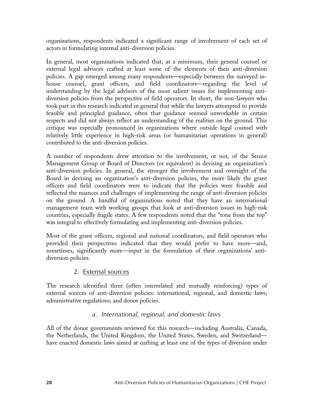organizations, respondents indicated a significant range of involvement of each set of actors in formulating internal anti-diversion policies.

In general, most organizations indicated that, at a minimum, their general counsel or external legal advisors crafted at least some of the elements of their anti-diversion policies. A gap emerged among many respondents—especially between the surveyed inhouse counsel, grant officers, and field coordinators—regarding the level of understanding by the legal advisors of the most salient issues for implementing antidiversion policies from the perspective of field operators. In short, the non-lawyers who took part in this research indicated in general that while the lawyers attempted to provide feasible and principled guidance, often that guidance seemed unworkable in certain respects and did not always reflect an understanding of the realities on the ground. This critique was especially pronounced in organizations where outside legal counsel with relatively little experience in high-risk areas (or humanitarian operations in general) contributed to the anti-diversion policies.

A number of respondents drew attention to the involvement, or not, of the Senior Management Group or Board of Directors (or equivalent) in devising an organization's anti-diversion policies. In general, the stronger the involvement and oversight of the Board in devising an organization's anti-diversion policies, the more likely the grant officers and field coordinators were to indicate that the policies were feasible and reflected the nuances and challenges of implementing the range of anti-diversion policies on the ground. A handful of organizations noted that they have an international management team with working groups that look at anti-diversion issues in high-risk countries, especially fragile states. A few respondents noted that the "tone from the top" was integral to effectively formulating and implementing anti-diversion policies.

Most of the grant officers, regional and national coordinators, and field operators who provided their perspectives indicated that they would prefer to have more—and, sometimes, significantly more—input in the formulation of their organizations' antidiversion policies.

#### 2. External sources

The research identified three (often interrelated and mutually reinforcing) types of external sources of anti-diversion policies: international, regional, and domestic laws; administrative regulations; and donor policies.

#### *a. International, regional, and domestic laws*

All of the donor governments reviewed for this research—including Australia, Canada, the Netherlands, the United Kingdom, the United States, Sweden, and Switzerland have enacted domestic laws aimed at curbing at least one of the types of diversion under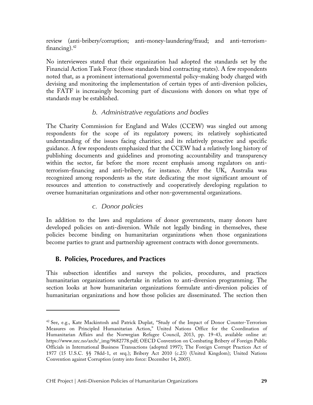review (anti-bribery/corruption; anti-money-laundering/fraud; and anti-terrorismfinancing). 42

No interviewees stated that their organization had adopted the standards set by the Financial Action Task Force (those standards bind contracting states). A few respondents noted that, as a prominent international governmental policy-making body charged with devising and monitoring the implementation of certain types of anti-diversion policies, the FATF is increasingly becoming part of discussions with donors on what type of standards may be established.

#### *b. Administrative regulations and bodies*

The Charity Commission for England and Wales (CCEW) was singled out among respondents for the scope of its regulatory powers; its relatively sophisticated understanding of the issues facing charities; and its relatively proactive and specific guidance. A few respondents emphasized that the CCEW had a relatively long history of publishing documents and guidelines and promoting accountability and transparency within the sector, far before the more recent emphasis among regulators on antiterrorism-financing and anti-bribery, for instance. After the UK, Australia was recognized among respondents as the state dedicating the most significant amount of resources and attention to constructively and cooperatively developing regulation to oversee humanitarian organizations and other non-governmental organizations.

#### *c. Donor policies*

In addition to the laws and regulations of donor governments, many donors have developed policies on anti-diversion. While not legally binding in themselves, these policies become binding on humanitarian organizations when those organizations become parties to grant and partnership agreement contracts with donor governments.

#### **B. Policies, Procedures, and Practices**

 $\overline{a}$ 

This subsection identifies and surveys the policies, procedures, and practices humanitarian organizations undertake in relation to anti-diversion programming. The section looks at how humanitarian organizations formulate anti-diversion policies of humanitarian organizations and how those policies are disseminated. The section then

<sup>&</sup>lt;sup>42</sup> See, e.g., Kate Mackintosh and Patrick Duplat, "Study of the Impact of Donor Counter-Terrorism Measures on Principled Humanitarian Action," United Nations Office for the Coordination of Humanitarian Affairs and the Norwegian Refugee Council, 2013, pp. 19-43, available online at: https://www.nrc.no/arch/\_img/9682778.pdf; OECD Convention on Combating Bribery of Foreign Public Officials in International Business Transactions (adopted 1997); The Foreign Corrupt Practices Act of 1977 (15 U.S.C. §§ 78dd-1, et seq.); Bribery Act 2010 (c.23) (United Kingdom); United Nations Convention against Corruption (entry into force: December 14, 2005).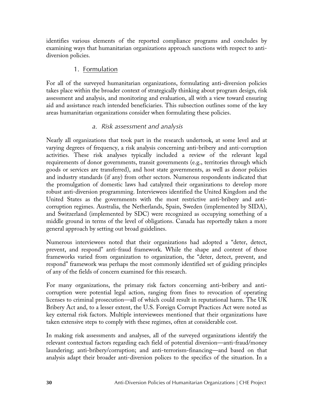identifies various elements of the reported compliance programs and concludes by examining ways that humanitarian organizations approach sanctions with respect to antidiversion policies.

#### 1. Formulation

For all of the surveyed humanitarian organizations, formulating anti-diversion policies takes place within the broader context of strategically thinking about program design, risk assessment and analysis, and monitoring and evaluation, all with a view toward ensuring aid and assistance reach intended beneficiaries. This subsection outlines some of the key areas humanitarian organizations consider when formulating these policies.

#### *a. Risk assessment and analysis*

Nearly all organizations that took part in the research undertook, at some level and at varying degrees of frequency, a risk analysis concerning anti-bribery and anti-corruption activities. These risk analyses typically included a review of the relevant legal requirements of donor governments, transit governments (e.g., territories through which goods or services are transferred), and host state governments, as well as donor policies and industry standards (if any) from other sectors. Numerous respondents indicated that the promulgation of domestic laws had catalyzed their organizations to develop more robust anti-diversion programming. Interviewees identified the United Kingdom and the United States as the governments with the most restrictive anti-bribery and anticorruption regimes. Australia, the Netherlands, Spain, Sweden (implemented by SIDA), and Switzerland (implemented by SDC) were recognized as occupying something of a middle ground in terms of the level of obligations. Canada has reportedly taken a more general approach by setting out broad guidelines.

Numerous interviewees noted that their organizations had adopted a "deter, detect, prevent, and respond" anti-fraud framework. While the shape and content of those frameworks varied from organization to organization, the "deter, detect, prevent, and respond" framework was perhaps the most commonly identified set of guiding principles of any of the fields of concern examined for this research.

For many organizations, the primary risk factors concerning anti-bribery and anticorruption were potential legal action, ranging from fines to revocation of operating licenses to criminal prosecution—all of which could result in reputational harm. The UK Bribery Act and, to a lesser extent, the U.S. Foreign Corrupt Practices Act were noted as key external risk factors. Multiple interviewees mentioned that their organizations have taken extensive steps to comply with these regimes, often at considerable cost.

In making risk assessments and analyses, all of the surveyed organizations identify the relevant contextual factors regarding each field of potential diversion—anti-fraud/money laundering; anti-bribery/corruption; and anti-terrorism-financing—and based on that analysis adapt their broader anti-diversion polices to the specifics of the situation. In a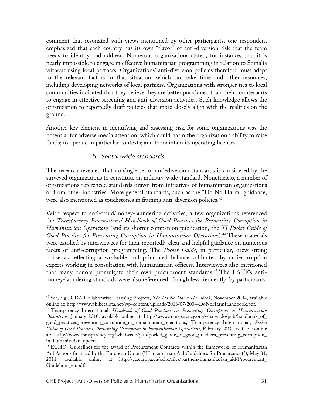comment that resonated with views mentioned by other participants, one respondent emphasized that each country has its own "flavor" of anti-diversion risk that the team needs to identify and address. Numerous organizations stated, for instance, that it is nearly impossible to engage in effective humanitarian programming in relation to Somalia without using local partners. Organizations' anti-diversion policies therefore must adapt to the relevant factors in that situation, which can take time and other resources, including developing networks of local partners. Organizations with stronger ties to local communities indicated that they believe they are better positioned than their counterparts to engage in effective screening and anti-diversion activities. Such knowledge allows the organization to reportedly draft policies that more closely align with the realities on the ground.

Another key element in identifying and assessing risk for some organizations was the potential for adverse media attention, which could harm the organization's ability to raise funds; to operate in particular contexts; and to maintain its operating licenses.

#### *b. Sector-wide standards*

The research revealed that no single set of anti-diversion standards is considered by the surveyed organizations to constitute an industry-wide standard. Nonetheless, a number of organizations referenced standards drawn from initiatives of humanitarian organizations or from other industries. More general standards, such as the "Do No Harm" guidance, were also mentioned as touchstones in framing anti-diversion policies. 43

With respect to anti-fraud/money-laundering activities, a few organizations referenced the *Transparency International Handbook of Good Practices for Preventing Corruption in Humanitarian Operations* (and its shorter companion publication, the *TI Pocket Guide of Good Practices for Preventing Corruption in Humanitarian Operations*).44 These materials were extolled by interviewees for their reportedly clear and helpful guidance on numerous facets of anti-corruption programming. The *Pocket Guide*, in particular, drew strong praise as reflecting a workable and principled balance calibrated by anti-corruption experts working in consultation with humanitarian officers. Interviewees also mentioned that many donors promulgate their own procurement standards.<sup>45</sup> The FATF's antimoney-laundering standards were also referenced, though less frequently, by participants.

 <sup>43</sup> See, e.g., CDA Collaborative Learning Projects, *The Do No Harm Handbook*, November 2004, available online at: http://www.phibetaiota.net/wp-content/uploads/2013/07/2004-DoNoHarmHandbook.pdf. 44 Transparency International, *Handbook of Good Practices for Preventing Corruption in Humanitarian* 

*Operations*, January 2010, available online at: http://www.transparency.org/whatwedo/pub/handbook\_of\_ [good\\_practices\\_preventing\\_corruption\\_in\\_humanitarian\\_operations; Transparency International,](http://www.transparency.org/whatwedo/pub/handbook_of_good_practices_preventing_corruption_in_humanitarian_operations) *Pocket Guide of Good Practices: Preventing Corruption in Humanitarian Operations*, February 2010, available online [at: http://www.transparency.org/whatwedo/pub/pocket\\_guide\\_of\\_good\\_practices\\_preventing\\_corruption\\_](http://www.transparency.org/whatwedo/pub/pocket_guide_of_good_practices_preventing_corruption_in_humanitarian_operat) in\_humanitarian\_operat. 45 ECHO, Guidelines for the award of Procurement Contracts within the frameworks of Humanitarian

Aid Actions financed by the European Union ("Humanitarian Aid Guidelines for Procurement"), May 31, [2011, available online at http://ec.europa.eu/echo/files/partners/humanitarian\\_aid/Procurement\\_](http://ec.europa.eu/echo/files/partners/humanitarian_aid/Procurement_Guidelines_en.pdf) Guidelines\_en.pdf.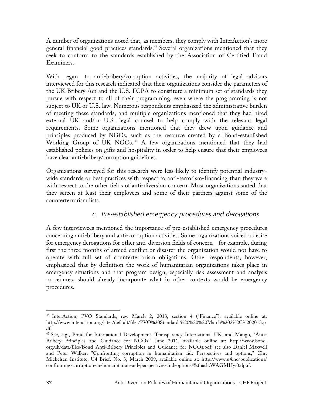A number of organizations noted that, as members, they comply with InterAction's more general financial good practices standards.<sup>46</sup> Several organizations mentioned that they seek to conform to the standards established by the Association of Certified Fraud Examiners.

With regard to anti-bribery/corruption activities, the majority of legal advisors interviewed for this research indicated that their organizations consider the parameters of the UK Bribery Act and the U.S. FCPA to constitute a minimum set of standards they pursue with respect to all of their programming, even where the programming is not subject to UK or U.S. law. Numerous respondents emphasized the administrative burden of meeting these standards, and multiple organizations mentioned that they had hired external UK and/or U.S. legal counsel to help comply with the relevant legal requirements. Some organizations mentioned that they drew upon guidance and principles produced by NGOs, such as the resource created by a Bond-established Working Group of UK NGOs. <sup>47</sup> A few organizations mentioned that they had established policies on gifts and hospitality in order to help ensure that their employees have clear anti-bribery/corruption guidelines.

Organizations surveyed for this research were less likely to identify potential industrywide standards or best practices with respect to anti-terrorism-financing than they were with respect to the other fields of anti-diversion concern. Most organizations stated that they screen at least their employees and some of their partners against some of the counterterrorism lists.

## *c. Pre-established emergency procedures and derogations*

A few interviewees mentioned the importance of pre-established emergency procedures concerning anti-bribery and anti-corruption activities. Some organizations voiced a desire for emergency derogations for other anti-diversion fields of concern—for example, during first the three months of armed conflict or disaster the organization would not have to operate with full set of counterterrorism obligations. Other respondents, however, emphasized that by definition the work of humanitarian organizations takes place in emergency situations and that program design, especially risk assessment and analysis procedures, should already incorporate what in other contexts would be emergency procedures.

 <sup>46</sup> InterAction, PVO Standards, rev. March 2, 2013, section 4 ("Finance"), available online at: [http://www.interaction.org/sites/default/files/PVO%20Standards%20%20%20March%202%2C%202013.p](http://www.interaction.org/sites/default/files/PVO%20Standards%20%20%20March%202%2C%202013.pdf) df.

<sup>47</sup> See, e.g., Bond for International Development, Transparency International UK, and Mango, "Anti-[Bribery Principles and Guidance for NGOs," June 2011, available online at: http://www.bond.](http://www.bond.org.uk/data/files/Bond_Anti-Bribery_Principles_and_Guidance_for_NGOs.pdf) org.uk/data/files/Bond\_Anti-Bribery\_Principles\_and\_Guidance\_for\_NGOs.pdf; see also Daniel Maxwell and Peter Walker, "Confronting corruption in humanitarian aid: Perspectives and options," Chr. [Michelsen Institute, U4 Brief, No. 3, March 2009, available online at: http://www.u4.no/publications](http://www.u4.no/publications/confronting-corruption-in-humanitarian-aid-perspectives-and-options/#sthash.WAGMHyi0.dpuf)/ confronting-corruption-in-humanitarian-aid-perspectives-and-options/#sthash.WAGMHyi0.dpuf.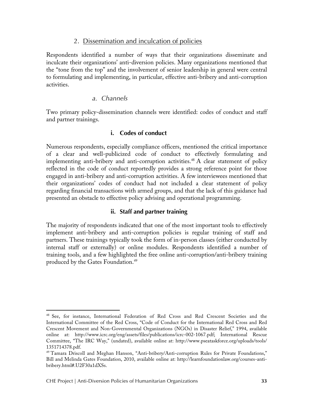#### 2. Dissemination and inculcation of policies

Respondents identified a number of ways that their organizations disseminate and inculcate their organizations' anti-diversion policies. Many organizations mentioned that the "tone from the top" and the involvement of senior leadership in general were central to formulating and implementing, in particular, effective anti-bribery and anti-corruption activities.

#### *a. Channels*

Two primary policy-dissemination channels were identified: codes of conduct and staff and partner trainings.

#### **i. Codes of conduct**

Numerous respondents, especially compliance officers, mentioned the critical importance of a clear and well-publicized code of conduct to effectively formulating and implementing anti-bribery and anti-corruption activities.<sup>48</sup> A clear statement of policy reflected in the code of conduct reportedly provides a strong reference point for those engaged in anti-bribery and anti-corruption activities. A few interviewees mentioned that their organizations' codes of conduct had not included a clear statement of policy regarding financial transactions with armed groups, and that the lack of this guidance had presented an obstacle to effective policy advising and operational programming.

#### **ii. Staff and partner training**

The majority of respondents indicated that one of the most important tools to effectively implement anti-bribery and anti-corruption policies is regular training of staff and partners. These trainings typically took the form of in-person classes (either conducted by internal staff or externally) or online modules. Respondents identified a number of training tools, and a few highlighted the free online anti-corruption/anti-bribery training produced by the Gates Foundation.49

 <sup>48</sup> See, for instance, International Federation of Red Cross and Red Crescent Societies and the International Committee of the Red Cross, "Code of Conduct for the International Red Cross and Red Crescent Movement and Non-Governmental Organizations (NGOs) in Disaster Relief," 1994, available online at: http://www.icrc.org/eng/assets/files/publications/icrc-002-1067.pdf; International Rescue [Committee, "The IRC Way," \(undated\), available online at: http://www.pseataskforce.org/uploads/tools/](http://www.pseataskforce.org/uploads/tools/1351714378.pdf)

<sup>1351714378.</sup>pdf. 49 Tamara Driscoll and Meghan Hanson, "Anti-bribery/Anti-corruption Rules for Private Foundations," Bill and Melinda Gates Foundation, 2010, available online at: http://learnfoundationlaw.org/courses-antibribery.html#.U2F30a1dXSs.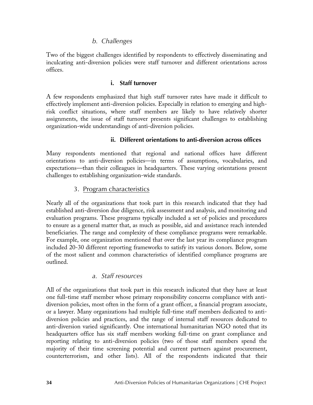#### *b. Challenges*

Two of the biggest challenges identified by respondents to effectively disseminating and inculcating anti-diversion policies were staff turnover and different orientations across offices.

#### **i. Staff turnover**

A few respondents emphasized that high staff turnover rates have made it difficult to effectively implement anti-diversion policies. Especially in relation to emerging and highrisk conflict situations, where staff members are likely to have relatively shorter assignments, the issue of staff turnover presents significant challenges to establishing organization-wide understandings of anti-diversion policies.

#### **ii. Different orientations to anti-diversion across offices**

Many respondents mentioned that regional and national offices have different orientations to anti-diversion policies—in terms of assumptions, vocabularies, and expectations—than their colleagues in headquarters. These varying orientations present challenges to establishing organization-wide standards.

#### 3. Program characteristics

Nearly all of the organizations that took part in this research indicated that they had established anti-diversion due diligence, risk assessment and analysis, and monitoring and evaluation programs. These programs typically included a set of policies and procedures to ensure as a general matter that, as much as possible, aid and assistance reach intended beneficiaries. The range and complexity of these compliance programs were remarkable. For example, one organization mentioned that over the last year its compliance program included 20-30 different reporting frameworks to satisfy its various donors. Below, some of the most salient and common characteristics of identified compliance programs are outlined.

#### *a. Staff resources*

All of the organizations that took part in this research indicated that they have at least one full-time staff member whose primary responsibility concerns compliance with antidiversion policies, most often in the form of a grant officer, a financial program associate, or a lawyer. Many organizations had multiple full-time staff members dedicated to antidiversion policies and practices, and the range of internal staff resources dedicated to anti-diversion varied significantly. One international humanitarian NGO noted that its headquarters office has six staff members working full-time on grant compliance and reporting relating to anti-diversion policies (two of those staff members spend the majority of their time screening potential and current partners against procurement, counterterrorism, and other lists). All of the respondents indicated that their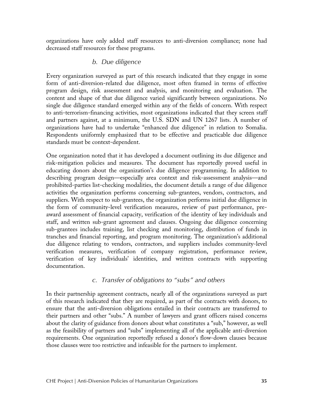organizations have only added staff resources to anti-diversion compliance; none had decreased staff resources for these programs.

### *b. Due diligence*

Every organization surveyed as part of this research indicated that they engage in some form of anti-diversion-related due diligence, most often framed in terms of effective program design, risk assessment and analysis, and monitoring and evaluation. The content and shape of that due diligence varied significantly between organizations. No single due diligence standard emerged within any of the fields of concern. With respect to anti-terrorism-financing activities, most organizations indicated that they screen staff and partners against, at a minimum, the U.S. SDN and UN 1267 lists. A number of organizations have had to undertake "enhanced due diligence" in relation to Somalia. Respondents uniformly emphasized that to be effective and practicable due diligence standards must be context-dependent.

One organization noted that it has developed a document outlining its due diligence and risk-mitigation policies and measures. The document has reportedly proved useful in educating donors about the organization's due diligence programming. In addition to describing program design—especially area context and risk-assessment analysis—and prohibited-parties list-checking modalities, the document details a range of due diligence activities the organization performs concerning sub-grantees, vendors, contractors, and suppliers. With respect to sub-grantees, the organization performs initial due diligence in the form of community-level verification measures, review of past performance, preaward assessment of financial capacity, verification of the identity of key individuals and staff, and written sub-grant agreement and clauses. Ongoing due diligence concerning sub-grantees includes training, list checking and monitoring, distribution of funds in tranches and financial reporting, and program monitoring. The organization's additional due diligence relating to vendors, contractors, and suppliers includes community-level verification measures, verification of company registration, performance review, verification of key individuals' identities, and written contracts with supporting documentation.

## *c. Transfer of obligations to "subs" and others*

In their partnership agreement contracts, nearly all of the organizations surveyed as part of this research indicated that they are required, as part of the contracts with donors, to ensure that the anti-diversion obligations entailed in their contracts are transferred to their partners and other "subs." A number of lawyers and grant officers raised concerns about the clarity of guidance from donors about what constitutes a "sub," however, as well as the feasibility of partners and "subs" implementing all of the applicable anti-diversion requirements. One organization reportedly refused a donor's flow-down clauses because those clauses were too restrictive and infeasible for the partners to implement.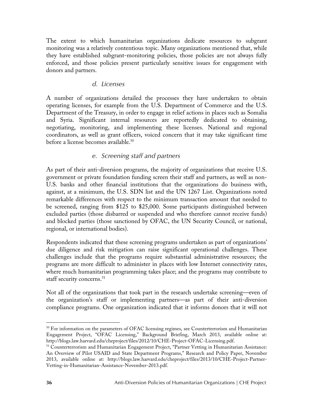The extent to which humanitarian organizations dedicate resources to subgrant monitoring was a relatively contentious topic. Many organizations mentioned that, while they have established subgrant-monitoring policies, those policies are not always fully enforced, and those policies present particularly sensitive issues for engagement with donors and partners.

#### *d. Licenses*

A number of organizations detailed the processes they have undertaken to obtain operating licenses, for example from the U.S. Department of Commerce and the U.S. Department of the Treasury, in order to engage in relief actions in places such as Somalia and Syria. Significant internal resources are reportedly dedicated to obtaining, negotiating, monitoring, and implementing these licenses. National and regional coordinators, as well as grant officers, voiced concern that it may take significant time before a license becomes available.<sup>50</sup>

#### *e. Screening staff and partners*

As part of their anti-diversion programs, the majority of organizations that receive U.S. government or private foundation funding screen their staff and partners, as well as non-U.S. banks and other financial institutions that the organizations do business with, against, at a minimum, the U.S. SDN list and the UN 1267 List. Organizations noted remarkable differences with respect to the minimum transaction amount that needed to be screened, ranging from \$125 to \$25,000. Some participants distinguished between excluded parties (those disbarred or suspended and who therefore cannot receive funds) and blocked parties (those sanctioned by OFAC, the UN Security Council, or national, regional, or international bodies).

Respondents indicated that these screening programs undertaken as part of organizations' due diligence and risk mitigation can raise significant operational challenges. These challenges include that the programs require substantial administrative resources; the programs are more difficult to administer in places with low Internet connectivity rates, where much humanitarian programming takes place; and the programs may contribute to staff security concerns.<sup>51</sup>

Not all of the organizations that took part in the research undertake screening—even of the organization's staff or implementing partners—as part of their anti-diversion compliance programs. One organization indicated that it informs donors that it will not

<sup>&</sup>lt;sup>50</sup> For information on the parameters of OFAC licensing regimes, see Counterterrorism and Humanitarian Engagement Project, "OFAC Licensing," Background Briefing, March 2013, available online at: http://blogs.law.harvard.edu/cheproject/files/2012/10/CHE-Project-OFAC-Licensing.pdf. 51 Counterterrorism and Humanitarian Engagement Project, "Partner Vetting in Humanitarian Assistance:

An Overview of Pilot USAID and State Department Programs," Research and Policy Paper, November 2013, available online at: http://blogs.law.harvard.edu/cheproject/files/2013/10/CHE-Project-Partner-Vetting-in-Humanitarian-Assistance-November-2013.pdf.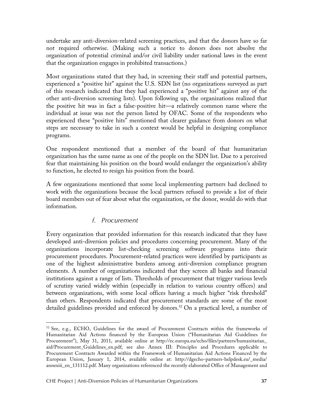undertake any anti-diversion-related screening practices, and that the donors have so far not required otherwise. (Making such a notice to donors does not absolve the organization of potential criminal and/or civil liability under national laws in the event that the organization engages in prohibited transactions.)

Most organizations stated that they had, in screening their staff and potential partners, experienced a "positive hit" against the U.S. SDN list (no organizations surveyed as part of this research indicated that they had experienced a "positive hit" against any of the other anti-diversion screening lists). Upon following up, the organizations realized that the positive hit was in fact a false-positive hit—a relatively common name where the individual at issue was not the person listed by OFAC. Some of the respondents who experienced these "positive hits" mentioned that clearer guidance from donors on what steps are necessary to take in such a context would be helpful in designing compliance programs.

One respondent mentioned that a member of the board of that humanitarian organization has the same name as one of the people on the SDN list. Due to a perceived fear that maintaining his position on the board would endanger the organization's ability to function, he elected to resign his position from the board.

A few organizations mentioned that some local implementing partners had declined to work with the organizations because the local partners refused to provide a list of their board members out of fear about what the organization, or the donor, would do with that information.

## *f. Procurement*

Every organization that provided information for this research indicated that they have developed anti-diversion policies and procedures concerning procurement. Many of the organizations incorporate list-checking screening software programs into their procurement procedures. Procurement-related practices were identified by participants as one of the highest administrative burdens among anti-diversion compliance program elements. A number of organizations indicated that they screen all banks and financial institutions against a range of lists. Thresholds of procurement that trigger various levels of scrutiny varied widely within (especially in relation to various country offices) and between organizations, with some local offices having a much higher "risk threshold" than others. Respondents indicated that procurement standards are some of the most detailed guidelines provided and enforced by donors.<sup>52</sup> On a practical level, a number of

 <sup>52</sup> See, e.g., ECHO, Guidelines for the award of Procurement Contracts within the frameworks of Humanitarian Aid Actions financed by the European Union ("Humanitarian Aid Guidelines for [Procurement"\), May 31, 2011, available online at http://ec.europa.eu/echo/files/partners/humanitarian\\_](http://ec.europa.eu/echo/files/partners/humanitarian_aid/Procurement_Guidelines_en.pdf) aid/Procurement\_Guidelines\_en.pdf; see also Annex III: Principles and Procedures applicable to Procurement Contracts Awarded within the Framework of Humanitarian Aid Actions Financed by the European Union, January 1, 2014, available online at: http://dgecho-partners-helpdesk.eu/\_media/ [annexiii\\_en\\_131112.pdf. Many organizations referenced the recently elaborated Office of Management and](http://dgecho-partners-helpdesk.eu/_media/annexiii_en_131112.pdf)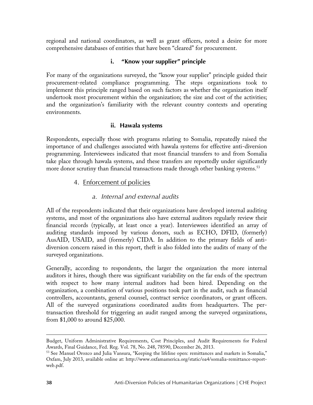regional and national coordinators, as well as grant officers, noted a desire for more comprehensive databases of entities that have been "cleared" for procurement.

### **i. "Know your supplier" principle**

For many of the organizations surveyed, the "know your supplier" principle guided their procurement-related compliance programming. The steps organizations took to implement this principle ranged based on such factors as whether the organization itself undertook most procurement within the organization; the size and cost of the activities; and the organization's familiarity with the relevant country contexts and operating environments.

#### **ii. Hawala systems**

Respondents, especially those with programs relating to Somalia, repeatedly raised the importance of and challenges associated with hawala systems for effective anti-diversion programming. Interviewees indicated that most financial transfers to and from Somalia take place through hawala systems, and these transfers are reportedly under significantly more donor scrutiny than financial transactions made through other banking systems.<sup>53</sup>

## 4. Enforcement of policies

## *a. Internal and external audits*

All of the respondents indicated that their organizations have developed internal auditing systems, and most of the organizations also have external auditors regularly review their financial records (typically, at least once a year). Interviewees identified an array of auditing standards imposed by various donors, such as ECHO, DFID, (formerly) AusAID, USAID, and (formerly) CIDA. In addition to the primary fields of antidiversion concern raised in this report, theft is also folded into the audits of many of the surveyed organizations.

Generally, according to respondents, the larger the organization the more internal auditors it hires, though there was significant variability on the far ends of the spectrum with respect to how many internal auditors had been hired. Depending on the organization, a combination of various positions took part in the audit, such as financial controllers, accountants, general counsel, contract service coordinators, or grant officers. All of the surveyed organizations coordinated audits from headquarters. The pertransaction threshold for triggering an audit ranged among the surveyed organizations, from \$1,000 to around \$25,000.

 $\overline{a}$ 

Budget, Uniform Administrative Requirements, Cost Principles, and Audit Requirements for Federal Awards, Final Guidance, Fed. Reg. Vol. 78, No. 248, 78590, December 26, 2013.<br><sup>53</sup> See Manuel Orozco and Julia Vansura, "Keeping the lifeline open: remittances and markets in Somalia,"

Oxfam, July 2013, available online at: http://www.oxfamamerica.org/static/oa4/somalia-remittance-reportweb.pdf.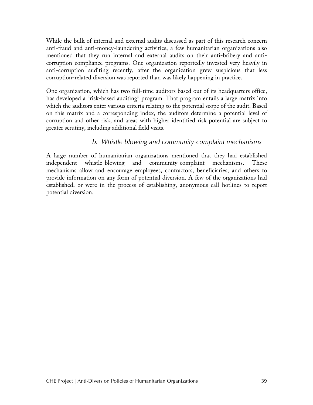While the bulk of internal and external audits discussed as part of this research concern anti-fraud and anti-money-laundering activities, a few humanitarian organizations also mentioned that they run internal and external audits on their anti-bribery and anticorruption compliance programs. One organization reportedly invested very heavily in anti-corruption auditing recently, after the organization grew suspicious that less corruption-related diversion was reported than was likely happening in practice.

One organization, which has two full-time auditors based out of its headquarters office, has developed a "risk-based auditing" program. That program entails a large matrix into which the auditors enter various criteria relating to the potential scope of the audit. Based on this matrix and a corresponding index, the auditors determine a potential level of corruption and other risk, and areas with higher identified risk potential are subject to greater scrutiny, including additional field visits.

## *b. Whistle-blowing and community-complaint mechanisms*

A large number of humanitarian organizations mentioned that they had established independent whistle-blowing and community-complaint mechanisms. These mechanisms allow and encourage employees, contractors, beneficiaries, and others to provide information on any form of potential diversion. A few of the organizations had established, or were in the process of establishing, anonymous call hotlines to report potential diversion.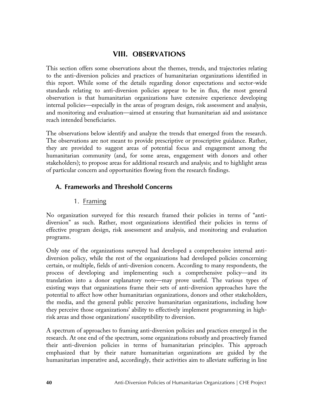## **VIII. OBSERVATIONS**

This section offers some observations about the themes, trends, and trajectories relating to the anti-diversion policies and practices of humanitarian organizations identified in this report. While some of the details regarding donor expectations and sector-wide standards relating to anti-diversion policies appear to be in flux, the most general observation is that humanitarian organizations have extensive experience developing internal policies—especially in the areas of program design, risk assessment and analysis, and monitoring and evaluation—aimed at ensuring that humanitarian aid and assistance reach intended beneficiaries.

The observations below identify and analyze the trends that emerged from the research. The observations are not meant to provide prescriptive or proscriptive guidance. Rather, they are provided to suggest areas of potential focus and engagement among the humanitarian community (and, for some areas, engagement with donors and other stakeholders); to propose areas for additional research and analysis; and to highlight areas of particular concern and opportunities flowing from the research findings.

## **A. Frameworks and Threshold Concerns**

## 1. Framing

No organization surveyed for this research framed their policies in terms of "antidiversion" as such. Rather, most organizations identified their policies in terms of effective program design, risk assessment and analysis, and monitoring and evaluation programs.

Only one of the organizations surveyed had developed a comprehensive internal antidiversion policy, while the rest of the organizations had developed policies concerning certain, or multiple, fields of anti-diversion concern. According to many respondents, the process of developing and implementing such a comprehensive policy—and its translation into a donor explanatory note—may prove useful. The various types of existing ways that organizations frame their sets of anti-diversion approaches have the potential to affect how other humanitarian organizations, donors and other stakeholders, the media, and the general public perceive humanitarian organizations, including how they perceive those organizations' ability to effectively implement programming in highrisk areas and those organizations' susceptibility to diversion.

A spectrum of approaches to framing anti-diversion policies and practices emerged in the research. At one end of the spectrum, some organizations robustly and proactively framed their anti-diversion policies in terms of humanitarian principles. This approach emphasized that by their nature humanitarian organizations are guided by the humanitarian imperative and, accordingly, their activities aim to alleviate suffering in line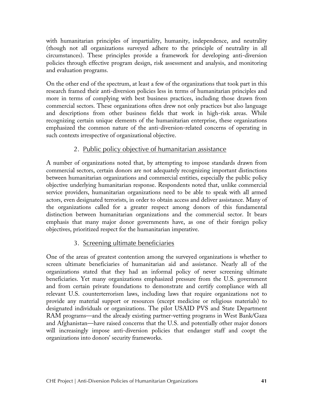with humanitarian principles of impartiality, humanity, independence, and neutrality (though not all organizations surveyed adhere to the principle of neutrality in all circumstances). These principles provide a framework for developing anti-diversion policies through effective program design, risk assessment and analysis, and monitoring and evaluation programs.

On the other end of the spectrum, at least a few of the organizations that took part in this research framed their anti-diversion policies less in terms of humanitarian principles and more in terms of complying with best business practices, including those drawn from commercial sectors. These organizations often drew not only practices but also language and descriptions from other business fields that work in high-risk areas. While recognizing certain unique elements of the humanitarian enterprise, these organizations emphasized the common nature of the anti-diversion-related concerns of operating in such contexts irrespective of organizational objective.

## 2. Public policy objective of humanitarian assistance

A number of organizations noted that, by attempting to impose standards drawn from commercial sectors, certain donors are not adequately recognizing important distinctions between humanitarian organizations and commercial entities, especially the public policy objective underlying humanitarian response. Respondents noted that, unlike commercial service providers, humanitarian organizations need to be able to speak with all armed actors, even designated terrorists, in order to obtain access and deliver assistance. Many of the organizations called for a greater respect among donors of this fundamental distinction between humanitarian organizations and the commercial sector. It bears emphasis that many major donor governments have, as one of their foreign policy objectives, prioritized respect for the humanitarian imperative.

## 3. Screening ultimate beneficiaries

One of the areas of greatest contention among the surveyed organizations is whether to screen ultimate beneficiaries of humanitarian aid and assistance. Nearly all of the organizations stated that they had an informal policy of never screening ultimate beneficiaries. Yet many organizations emphasized pressure from the U.S. government and from certain private foundations to demonstrate and certify compliance with all relevant U.S. counterterrorism laws, including laws that require organizations not to provide any material support or resources (except medicine or religious materials) to designated individuals or organizations. The pilot USAID PVS and State Department RAM programs—and the already existing partner-vetting programs in West Bank/Gaza and Afghanistan—have raised concerns that the U.S. and potentially other major donors will increasingly impose anti-diversion policies that endanger staff and coopt the organizations into donors' security frameworks.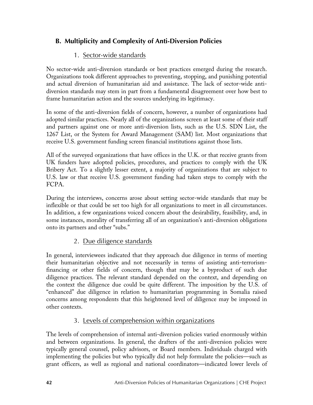# **B. Multiplicity and Complexity of Anti-Diversion Policies**

## 1. Sector-wide standards

No sector-wide anti-diversion standards or best practices emerged during the research. Organizations took different approaches to preventing, stopping, and punishing potential and actual diversion of humanitarian aid and assistance. The lack of sector-wide antidiversion standards may stem in part from a fundamental disagreement over how best to frame humanitarian action and the sources underlying its legitimacy.

In some of the anti-diversion fields of concern, however, a number of organizations had adopted similar practices. Nearly all of the organizations screen at least some of their staff and partners against one or more anti-diversion lists, such as the U.S. SDN List, the 1267 List, or the System for Award Management (SAM) list. Most organizations that receive U.S. government funding screen financial institutions against those lists.

All of the surveyed organizations that have offices in the U.K. or that receive grants from UK funders have adopted policies, procedures, and practices to comply with the UK Bribery Act. To a slightly lesser extent, a majority of organizations that are subject to U.S. law or that receive U.S. government funding had taken steps to comply with the FCPA.

During the interviews, concerns arose about setting sector-wide standards that may be inflexible or that could be set too high for all organizations to meet in all circumstances. In addition, a few organizations voiced concern about the desirability, feasibility, and, in some instances, morality of transferring all of an organization's anti-diversion obligations onto its partners and other "subs."

## 2. Due diligence standards

In general, interviewees indicated that they approach due diligence in terms of meeting their humanitarian objective and not necessarily in terms of assisting anti-terrorismfinancing or other fields of concern, though that may be a byproduct of such due diligence practices. The relevant standard depended on the context, and depending on the context the diligence due could be quite different. The imposition by the U.S. of "enhanced" due diligence in relation to humanitarian programming in Somalia raised concerns among respondents that this heightened level of diligence may be imposed in other contexts.

## 3. Levels of comprehension within organizations

The levels of comprehension of internal anti-diversion policies varied enormously within and between organizations. In general, the drafters of the anti-diversion policies were typically general counsel, policy advisors, or Board members. Individuals charged with implementing the policies but who typically did not help formulate the policies—such as grant officers, as well as regional and national coordinators—indicated lower levels of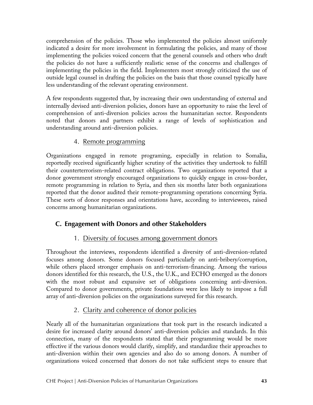comprehension of the policies. Those who implemented the policies almost uniformly indicated a desire for more involvement in formulating the policies, and many of those implementing the policies voiced concern that the general counsels and others who draft the policies do not have a sufficiently realistic sense of the concerns and challenges of implementing the policies in the field. Implementers most strongly criticized the use of outside legal counsel in drafting the policies on the basis that those counsel typically have less understanding of the relevant operating environment.

A few respondents suggested that, by increasing their own understanding of external and internally devised anti-diversion policies, donors have an opportunity to raise the level of comprehension of anti-diversion policies across the humanitarian sector. Respondents noted that donors and partners exhibit a range of levels of sophistication and understanding around anti-diversion policies.

## 4. Remote programming

Organizations engaged in remote programing, especially in relation to Somalia, reportedly received significantly higher scrutiny of the activities they undertook to fulfill their counterterrorism-related contract obligations. Two organizations reported that a donor government strongly encouraged organizations to quickly engage in cross-border, remote programming in relation to Syria, and then six months later both organizations reported that the donor audited their remote-programming operations concerning Syria. These sorts of donor responses and orientations have, according to interviewees, raised concerns among humanitarian organizations.

## **C. Engagement with Donors and other Stakeholders**

## 1. Diversity of focuses among government donors

Throughout the interviews, respondents identified a diversity of anti-diversion-related focuses among donors. Some donors focused particularly on anti-bribery/corruption, while others placed stronger emphasis on anti-terrorism-financing. Among the various donors identified for this research, the U.S., the U.K., and ECHO emerged as the donors with the most robust and expansive set of obligations concerning anti-diversion. Compared to donor governments, private foundations were less likely to impose a full array of anti-diversion policies on the organizations surveyed for this research.

## 2. Clarity and coherence of donor policies

Nearly all of the humanitarian organizations that took part in the research indicated a desire for increased clarity around donors' anti-diversion policies and standards. In this connection, many of the respondents stated that their programming would be more effective if the various donors would clarify, simplify, and standardize their approaches to anti-diversion within their own agencies and also do so among donors. A number of organizations voiced concerned that donors do not take sufficient steps to ensure that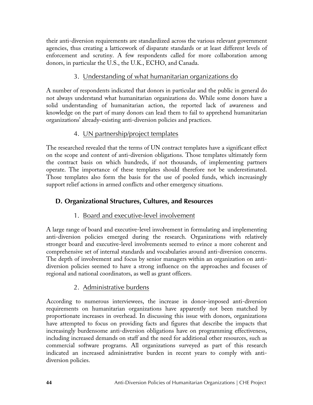their anti-diversion requirements are standardized across the various relevant government agencies, thus creating a latticework of disparate standards or at least different levels of enforcement and scrutiny. A few respondents called for more collaboration among donors, in particular the U.S., the U.K., ECHO, and Canada.

## 3. Understanding of what humanitarian organizations do

A number of respondents indicated that donors in particular and the public in general do not always understand what humanitarian organizations do. While some donors have a solid understanding of humanitarian action, the reported lack of awareness and knowledge on the part of many donors can lead them to fail to apprehend humanitarian organizations' already-existing anti-diversion policies and practices.

## 4. UN partnership/project templates

The researched revealed that the terms of UN contract templates have a significant effect on the scope and content of anti-diversion obligations. Those templates ultimately form the contract basis on which hundreds, if not thousands, of implementing partners operate. The importance of these templates should therefore not be underestimated. Those templates also form the basis for the use of pooled funds, which increasingly support relief actions in armed conflicts and other emergency situations.

# **D. Organizational Structures, Cultures, and Resources**

# 1. Board and executive-level involvement

A large range of board and executive-level involvement in formulating and implementing anti-diversion policies emerged during the research. Organizations with relatively stronger board and executive-level involvements seemed to evince a more coherent and comprehensive set of internal standards and vocabularies around anti-diversion concerns. The depth of involvement and focus by senior managers within an organization on antidiversion policies seemed to have a strong influence on the approaches and focuses of regional and national coordinators, as well as grant officers.

# 2. Administrative burdens

According to numerous interviewees, the increase in donor-imposed anti-diversion requirements on humanitarian organizations have apparently not been matched by proportionate increases in overhead. In discussing this issue with donors, organizations have attempted to focus on providing facts and figures that describe the impacts that increasingly burdensome anti-diversion obligations have on programming effectiveness, including increased demands on staff and the need for additional other resources, such as commercial software programs. All organizations surveyed as part of this research indicated an increased administrative burden in recent years to comply with antidiversion policies.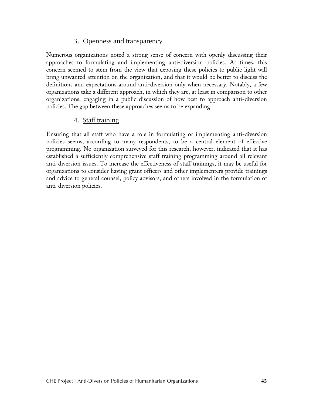#### 3. Openness and transparency

Numerous organizations noted a strong sense of concern with openly discussing their approaches to formulating and implementing anti-diversion policies. At times, this concern seemed to stem from the view that exposing these policies to public light will bring unwanted attention on the organization, and that it would be better to discuss the definitions and expectations around anti-diversion only when necessary. Notably, a few organizations take a different approach, in which they are, at least in comparison to other organizations, engaging in a public discussion of how best to approach anti-diversion policies. The gap between these approaches seems to be expanding.

#### 4. Staff training

Ensuring that all staff who have a role in formulating or implementing anti-diversion policies seems, according to many respondents, to be a central element of effective programming. No organization surveyed for this research, however, indicated that it has established a sufficiently comprehensive staff training programming around all relevant anti-diversion issues. To increase the effectiveness of staff trainings, it may be useful for organizations to consider having grant officers and other implementers provide trainings and advice to general counsel, policy advisors, and others involved in the formulation of anti-diversion policies.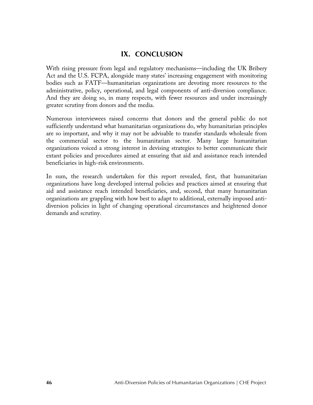## **IX. CONCLUSION**

With rising pressure from legal and regulatory mechanisms—including the UK Bribery Act and the U.S. FCPA, alongside many states' increasing engagement with monitoring bodies such as FATF—humanitarian organizations are devoting more resources to the administrative, policy, operational, and legal components of anti-diversion compliance. And they are doing so, in many respects, with fewer resources and under increasingly greater scrutiny from donors and the media.

Numerous interviewees raised concerns that donors and the general public do not sufficiently understand what humanitarian organizations do, why humanitarian principles are so important, and why it may not be advisable to transfer standards wholesale from the commercial sector to the humanitarian sector. Many large humanitarian organizations voiced a strong interest in devising strategies to better communicate their extant policies and procedures aimed at ensuring that aid and assistance reach intended beneficiaries in high-risk environments.

In sum, the research undertaken for this report revealed, first, that humanitarian organizations have long developed internal policies and practices aimed at ensuring that aid and assistance reach intended beneficiaries, and, second, that many humanitarian organizations are grappling with how best to adapt to additional, externally imposed antidiversion policies in light of changing operational circumstances and heightened donor demands and scrutiny.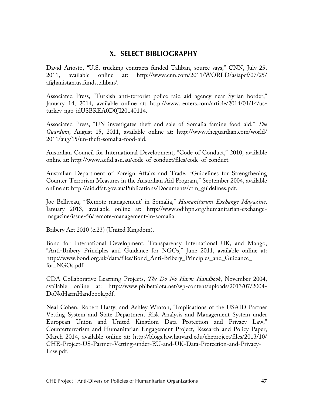## **X. SELECT BIBLIOGRAPHY**

David Ariosto, "U.S. trucking contracts funded Taliban, source says," CNN, July 25, [2011, available online at: http://www.cnn.com/2011/WORLD/asiapcf/07/25/](http://www.cnn.com/2011/WORLD/asiapcf/07/25/afghanistan.us.funds.taliban/) afghanistan.us.funds.taliban/.

Associated Press, "Turkish anti-terrorist police raid aid agency near Syrian border," January 14, 2014, available online at: http://www.reuters.com/article/2014/01/14/usturkey-ngo-idUSBREA0D0JI20140114.

Associated Press, "UN investigates theft and sale of Somalia famine food aid," *The Guardian*[, August 15, 2011, available online at: http://www.theguardian.com/world/](http://www.theguardian.com/world/2011/aug/15/un-theft-somalia-food-aid) 2011/aug/15/un-theft-somalia-food-aid.

Australian Council for International Development, "Code of Conduct," 2010, available online at: http://www.acfid.asn.au/code-of-conduct/files/code-of-conduct.

Australian Department of Foreign Affairs and Trade, "Guidelines for Strengthening Counter-Terrorism Measures in the Australian Aid Program," September 2004, available online at: http://aid.dfat.gov.au/Publications/Documents/ctm\_guidelines.pdf.

Joe Belliveau, "'Remote management' in Somalia," *Humanitarian Exchange Magazine*, January 2013, available online at: http://www.odihpn.org/humanitarian-exchangemagazine/issue-56/remote-management-in-somalia.

Bribery Act 2010 (c.23) (United Kingdom).

Bond for International Development, Transparency International UK, and Mango, "Anti-Bribery Principles and Guidance for NGOs," June 2011, available online at: [http://www.bond.org.uk/data/files/Bond\\_Anti-Bribery\\_Principles\\_and\\_Guidance\\_](http://www.bond.org.uk/data/files/Bond_Anti-Bribery_Principles_and_Guidance_for_NGOs.pdf) for\_NGOs.pdf.

CDA Collaborative Learning Projects, *The Do No Harm Handbook*, November 2004, available online at: http://www.phibetaiota.net/wp-content/uploads/2013/07/2004- DoNoHarmHandbook.pdf.

Neal Cohen, Robert Hasty, and Ashley Winton, "Implications of the USAID Partner Vetting System and State Department Risk Analysis and Management System under European Union and United Kingdom Data Protection and Privacy Law," Counterterrorism and Humanitarian Engagement Project, Research and Policy Paper, [March 2014, available online at: http://blogs.law.harvard.edu/cheproject/files/2013/10/](http://blogs.law.harvard.edu/cheproject/files/2013/10/CHE-Project-US-Partner-Vetting-under-EU-and-UK-Data-Protection-and-Privacy-Law.pdf) CHE-Project-US-Partner-Vetting-under-EU-and-UK-Data-Protection-and-Privacy-Law.pdf.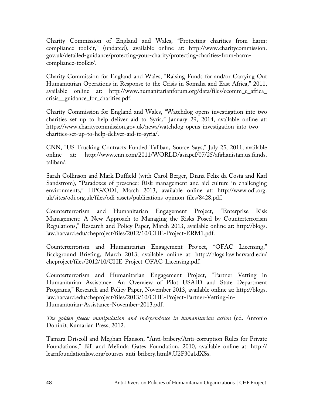Charity Commission of England and Wales, "Protecting charities from harm: compliance toolkit," (undated), available online at: http://www.charitycommission. [gov.uk/detailed-guidance/protecting-your-charity/protecting-charities-from-harm](http://www.charitycommission.gov.uk/detailed-guidance/protecting-your-charity/protecting-charities-from-harmcompliance-toolkit/)compliance-toolkit/.

Charity Commission for England and Wales, "Raising Funds for and/or Carrying Out Humanitarian Operations in Response to the Crisis in Somalia and East Africa," 2011, [available online at: http://www.humanitarianforum.org/data/files/ccomm\\_e\\_africa\\_](http://www.humanitarianforum.org/data/files/ccomm_e_africa_crisis__guidance_for_charities.pdf) crisis\_\_guidance\_for\_charities.pdf.

Charity Commission for England and Wales, "Watchdog opens investigation into two charities set up to help deliver aid to Syria," January 29, 2014, available online at: https://www.charitycommission.gov.uk/news/watchdog-opens-investigation-into-twocharities-set-up-to-help-deliver-aid-to-syria/.

CNN, "US Trucking Contracts Funded Taliban, Source Says," July 25, 2011, available [online at: http://www.cnn.com/2011/WORLD/asiapcf/07/25/afghanistan.us.funds.](http://www.cnn.com/2011/WORLD/asiapcf/07/25/afghanistan.us.funds.taliban/) taliban/.

Sarah Collinson and Mark Duffield (with Carol Berger, Diana Felix da Costa and Karl Sandstrom), "Paradoxes of presence: Risk management and aid culture in challenging [environments," HPG/ODI, March 2013, available online at: http://www.odi.org.](http://www.odi.org.uk/sites/odi.org.uk/files/odi-assets/publications-opinion-files/8428.pdf) uk/sites/odi.org.uk/files/odi-assets/publications-opinion-files/8428.pdf.

Counterterrorism and Humanitarian Engagement Project, "Enterprise Risk Management: A New Approach to Managing the Risks Posed by Counterterrorism [Regulations," Research and Policy Paper, March 2013, available online at: http://blogs.](http://blogs.law.harvard.edu/cheproject/files/2012/10/CHE-Project-ERM1.pdf) law.harvard.edu/cheproject/files/2012/10/CHE-Project-ERM1.pdf.

Counterterrorism and Humanitarian Engagement Project, "OFAC Licensing," [Background Briefing, March 2013, available online at: http://blogs.law.harvard.edu/](http://blogs.law.harvard.edu/cheproject/files/2012/10/CHE-Project-OFAC-Licensing.pdf) cheproject/files/2012/10/CHE-Project-OFAC-Licensing.pdf.

Counterterrorism and Humanitarian Engagement Project, "Partner Vetting in Humanitarian Assistance: An Overview of Pilot USAID and State Department [Programs," Research and Policy Paper, November 2013, available online at: http://blogs.](http://blogs.law.harvard.edu/cheproject/files/2013/10/CHE-Project-Partner-Vetting-in-Humanitarian-Assistance-November-2013.pdf) law.harvard.edu/cheproject/files/2013/10/CHE-Project-Partner-Vetting-in-Humanitarian-Assistance-November-2013.pdf.

*The golden fleece: manipulation and independence in humanitarian action* (ed. Antonio Donini), Kumarian Press, 2012.

Tamara Driscoll and Meghan Hanson, "Anti-bribery/Anti-corruption Rules for Private Foundations," Bill and Melinda Gates Foundation, 2010, available online at: http:// learnfoundationlaw.org/courses-anti-bribery.html#.U2F30a1dXSs.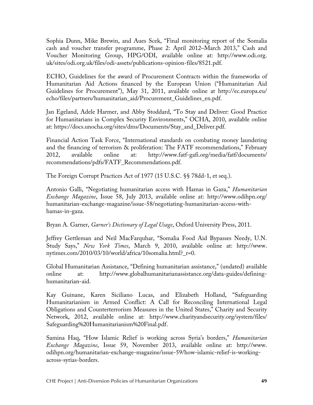Sophia Dunn, Mike Brewin, and Aues Scek, "Final monitoring report of the Somalia cash and voucher transfer programme, Phase 2: April 2012–March 2013," Cash and [Voucher Monitoring Group, HPG/ODI, available online at: http://www.odi.org.](http://www.odi.org.uk/sites/odi.org.uk/files/odi-assets/publications-opinion-files/8521.pdf) uk/sites/odi.org.uk/files/odi-assets/publications-opinion-files/8521.pdf.

ECHO, Guidelines for the award of Procurement Contracts within the frameworks of Humanitarian Aid Actions financed by the European Union ("Humanitarian Aid Guidelines for Procurement"), May 31, 2011, available online at http://ec.europa.eu/ [echo/files/partners/humanitarian\\_aid/Procurement\\_Guidelines\\_en.pdf.](http://ec.europa.eu/echo/files/partners/humanitarian_aid/Procurement_Guidelines_en.pdf)

Jan Egeland, Adele Harmer, and Abby Stoddard, "To Stay and Deliver: Good Practice for Humanitarians in Complex Security Environments," OCHA, 2010, available online at: https://docs.unocha.org/sites/dms/Documents/Stay\_and\_Deliver.pdf.

Financial Action Task Force, "International standards on combating money laundering and the financing of terrorism & proliferation: The FATF recommendations," February [2012, available online at: http://www.fatf-gafi.org/media/fatf/documents/](http://www.fatf-gafi.org/media/fatf/documents/recommendations/pdfs/FATF_Recommendations.pdf) recommendations/pdfs/FATF\_Recommendations.pdf.

The Foreign Corrupt Practices Act of 1977 (15 U.S.C. §§ 78dd-1, et seq.).

Antonio Galli, "Negotiating humanitarian access with Hamas in Gaza," *Humanitarian Exchange Magazine*, Issue 58, July 2013, available online at: http://www.odihpn.org/ [humanitarian-exchange-magazine/issue-58/negotiating-humanitarian-access-with](http://www.odihpn.org/humanitarian-exchange-magazine/issue-58/negotiating-humanitarian-access-withhamas-in-gaza)hamas-in-gaza.

Bryan A. Garner, *Garner's Dictionary of Legal Usage*, Oxford University Press, 2011.

Jeffrey Gettleman and Neil MacFarquhar, "Somalia Food Aid Bypasses Needy, U.N. Study Says," *New York Times*[, March 9, 2010, available online at: http://www.](http://www.nytimes.com/2010/03/10/world/africa/10somalia.html?_r=0) nytimes.com/2010/03/10/world/africa/10somalia.html?\_r=0.

Global Humanitarian Assistance, "Defining humanitarian assistance," (undated) available online at: http://www.globalhumanitarianassistance.org/data-guides/defininghumanitarian-aid.

Kay Guinane, Karen Siciliano Lucas, and Elizabeth Holland, "Safeguarding Humanitarianism in Armed Conflict: A Call for Reconciling International Legal Obligations and Counterterrorism Measures in the United States," Charity and Security [Network, 2012, available online at: http://www.charityandsecurity.org/system/files](http://www.charityandsecurity.org/system/files/Safeguarding%20Humanitarianism%20Final.pdf)/ Safeguarding%20Humanitarianism%20Final.pdf.

Samina Haq, "How Islamic Relief is working across Syria's borders," *Humanitarian Exchange Magazine*, Issue 59, November 2013, available online at: http://www. [odihpn.org/humanitarian-exchange-magazine/issue-59/how-islamic-relief-is-working](http://www.odihpn.org/humanitarian-exchange-magazine/issue-59/how-islamic-relief-is-workingacross-syrias-borders)across-syrias-borders.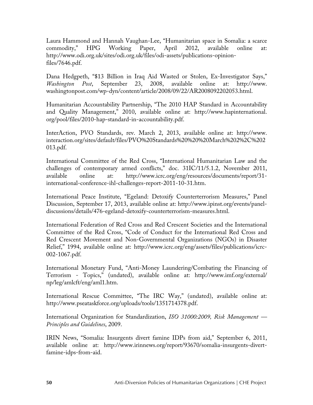Laura Hammond and Hannah Vaughan-Lee, "Humanitarian space in Somalia: a scarce commodity," HPG Working Paper, April 2012, available online at: http://www.odi.org.uk/sites/odi.org.uk/files/odi-assets/publications-opinionfiles/7646.pdf.

Dana Hedgpeth, "\$13 Billion in Iraq Aid Wasted or Stolen, Ex-Investigator Says," *Washington Post*, September 23, 2008, available online at: http://www. [washingtonpost.com/wp-dyn/content/article/2008/09/22/AR2008092202053.html.](http://www.washingtonpost.com/wp-dyn/content/article/2008/09/22/AR2008092202053.html) 

Humanitarian Accountability Partnership, "The 2010 HAP Standard in Accountability [and Quality Management," 2010, available online at: http://www.hapinternational.](http://www.hapinternational.org/pool/files/2010-hap-standard-in-accountability.pdf) org/pool/files/2010-hap-standard-in-accountability.pdf.

[InterAction, PVO Standards, rev. March 2, 2013, available online at: http://www.](http://www.interaction.org/sites/default/files/PVO%20Standards%20%20%20March%202%2C%202013.pdf) interaction.org/sites/default/files/PVO%20Standards%20%20%20March%202%2C%202 013.pdf.

International Committee of the Red Cross, "International Humanitarian Law and the challenges of contemporary armed conflicts," doc. 31IC/11/5.1.2, November 2011, available online at: http://www.icrc.org/eng/resources/documents/report/31 international-conference-ihl-challenges-report-2011-10-31.htm.

International Peace Institute, "Egeland: Detoxify Counterterrorism Measures," Panel Discussion, September 17, 2013, available online at: http://www.ipinst.org/events/paneldiscussions/details/476-egeland-detoxify-counterterrorism-measures.html.

International Federation of Red Cross and Red Crescent Societies and the International Committee of the Red Cross, "Code of Conduct for the International Red Cross and Red Crescent Movement and Non-Governmental Organizations (NGOs) in Disaster Relief," 1994, available online at: http://www.icrc.org/eng/assets/files/publications/icrc-002-1067.pdf.

International Monetary Fund, "Anti-Money Laundering/Combating the Financing of Terrorism - Topics," [\(undated\), available online at: http://www.imf.org/external/](http://www.imf.org/external/np/leg/amlcft/eng/aml1.htm) np/leg/amlcft/eng/aml1.htm.

International Rescue Committee, "The IRC Way," (undated), available online at: http://www.pseataskforce.org/uploads/tools/1351714378.pdf.

International Organization for Standardization, *ISO 31000:2009, Risk Management — Principles and Guidelines*, 2009.

IRIN News, "Somalia: Insurgents divert famine IDPs from aid," September 6, 2011, available online at: http://www.irinnews.org/report/93670/somalia-insurgents-divertfamine-idps-from-aid.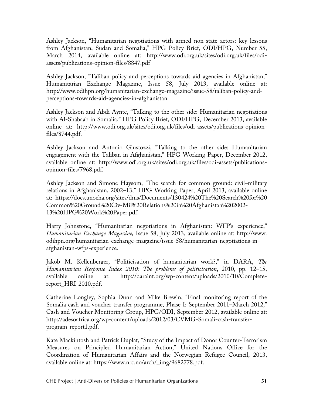Ashley Jackson, "Humanitarian negotiations with armed non-state actors: key lessons from Afghanistan, Sudan and Somalia," HPG Policy Brief, ODI/HPG, Number 55, March 2014, available online at: http://www.odi.org.uk/sites/odi.org.uk/files/odiassets/publications-opinion-files/8847.pdf

Ashley Jackson, "Taliban policy and perceptions towards aid agencies in Afghanistan," Humanitarian Exchange Magazine, Issue 58, July 2013, available online at: http://www.odihpn.org/humanitarian-exchange-magazine/issue-58/taliban-policy-andperceptions-towards-aid-agencies-in-afghanistan.

Ashley Jackson and Abdi Aynte, "Talking to the other side: Humanitarian negotiations with Al-Shabaab in Somalia," HPG Policy Brief, ODI/HPG, December 2013, available online at: http://www.odi.org.uk/sites/odi.org.uk/files/odi-assets/publications-opinionfiles/8744.pdf.

Ashley Jackson and Antonio Giustozzi, "Talking to the other side: Humanitarian engagement with the Taliban in Afghanistan," HPG Working Paper, December 2012, available online at: http://www.odi.org.uk/sites/odi.org.uk/files/odi-assets/publicationsopinion-files/7968.pdf.

Ashley Jackson and Simone Haysom, "The search for common ground: civil–military relations in Afghanistan, 2002–13," HPG Working Paper, April 2013, available online at: https://docs.unocha.org/sites/dms/Documents/130424%20The%20Search%20for%20 [Common%20Ground%20Civ-Mil%20Relations%20in%20Afghanistan%202002-](https://docs.unocha.org/sites/dms/Documents/130424%20The%20Search%20for%20Common%20Ground%20Civ-Mil%20Relations%20in%20Afghanistan%202002-13%20HPG%20Work%20Paper.pdf) 13%20HPG%20Work%20Paper.pdf.

Harry Johnstone, "Humanitarian negotiations in Afghanistan: WFP's experience," *Humanitarian Exchange Magazine,* Issue 58, July 2013, available online at: http://www. [odihpn.org/humanitarian-exchange-magazine/issue-58/humanitarian-negotiations-in](http://www.odihpn.org/humanitarian-exchange-magazine/issue-58/humanitarian-negotiations-inafghanistan-wfps-experience)afghanistan-wfps-experience.

Jakob M. Kellenberger, "Politicisation of humanitarian work?," in DARA, *The Humanitarian Response Index 2010: The problems of politicisation*, 2010, pp. 12–15, available online at: http://daraint.org/wp-content/uploads/2010/10/Completereport\_HRI-2010.pdf.

Catherine Longley, Sophia Dunn and Mike Brewin, "Final monitoring report of the Somalia cash and voucher transfer programme, Phase I: September 2011–March 2012," Cash and Voucher Monitoring Group, HPG/ODI, September 2012, available online at: http://adesoafrica.org/wp-content/uploads/2012/03/CVMG-Somali-cash-transferprogram-report1.pdf.

Kate Mackintosh and Patrick Duplat, "Study of the Impact of Donor Counter-Terrorism Measures on Principled Humanitarian Action," United Nations Office for the Coordination of Humanitarian Affairs and the Norwegian Refugee Council, 2013, available online at: https://www.nrc.no/arch/\_img/9682778.pdf.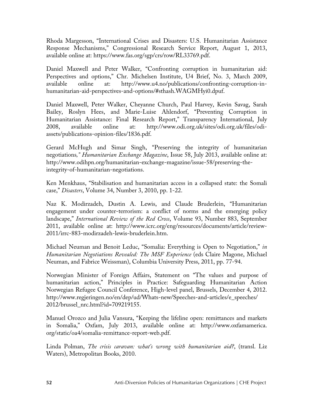Rhoda Margesson, "International Crises and Disasters: U.S. Humanitarian Assistance Response Mechanisms," Congressional Research Service Report, August 1, 2013, available online at: https://www.fas.org/sgp/crs/row/RL33769.pdf.

Daniel Maxwell and Peter Walker, "Confronting corruption in humanitarian aid: Perspectives and options," Chr. Michelsen Institute, U4 Brief, No. 3, March 2009, available online at: http://www.u4.no/publications/confronting-corruption-inhumanitarian-aid-perspectives-and-options/#sthash.WAGMHyi0.dpuf.

Daniel Maxwell, Peter Walker, Cheyanne Church, Paul Harvey, Kevin Savag, Sarah Bailey, Roslyn Hees, and Marie-Luise Ahlendorf, "Preventing Corruption in Humanitarian Assistance: Final Research Report," Transparency International, July 2008, available online at: http://www.odi.org.uk/sites/odi.org.uk/files/odiassets/publications-opinion-files/1836.pdf.

Gerard McHugh and Simar Singh, "Preserving the integrity of humanitarian negotiations*," Humanitarian Exchange Magazine*, Issue 58, July 2013, available online at: http://www.odihpn.org/humanitarian-exchange-magazine/issue-58/preserving-theintegrity-of-humanitarian-negotiations.

Ken Menkhaus, "Stabilisation and humanitarian access in a collapsed state: the Somali case," *Disasters*, Volume 34, Number 3, 2010, pp. 1-22.

Naz K. Modirzadeh, Dustin A. Lewis, and Claude Bruderlein, "Humanitarian engagement under counter-terrorism: a conflict of norms and the emerging policy landscape," *International Review of the Red Cross*, Volume 93, Number 883, September 2011, available online at: http://www.icrc.org/eng/resources/documents/article/review-2011/irrc-883-modirzadeh-lewis-bruderlein.htm.

Michael Neuman and Benoit Leduc, "Somalia: Everything is Open to Negotiation," *in Humanitarian Negotiations Revealed: The MSF Experience* (eds Claire Magone, Michael Neuman, and Fabrice Weissman), Columbia University Press, 2011, pp. 77-94.

Norwegian Minister of Foreign Affairs, Statement on "The values and purpose of humanitarian action," Principles in Practice: Safeguarding Humanitarian Action Norwegian Refugee Council Conference, High-level panel, Brussels, December 4, 2012. [http://www.regjeringen.no/en/dep/ud/Whats-new/Speeches-and-articles/e\\_speeches/](http://www.regjeringen.no/en/dep/ud/Whats-new/Speeches-and-articles/e_speeches/2012/brussel_nrc.html?id=709219155) 2012/brussel\_nrc.html?id=709219155.

Manuel Orozco and Julia Vansura, "Keeping the lifeline open: remittances and markets [in Somalia," Oxfam, July 2013, available online at: http://www.oxfamamerica.](http://www.oxfamamerica.org/static/oa4/somalia-remittance-report-web.pdf) org/static/oa4/somalia-remittance-report-web.pdf.

Linda Polman, *The crisis caravan: what's wrong with humanitarian aid?*, (transl. Liz Waters), Metropolitan Books, 2010.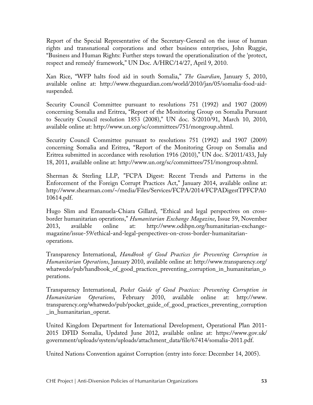Report of the Special Representative of the Secretary-General on the issue of human rights and transnational corporations and other business enterprises, John Ruggie, "Business and Human Rights: Further steps toward the operationalization of the 'protect, respect and remedy' framework," UN Doc. A/HRC/14/27, April 9, 2010.

Xan Rice, "WFP halts food aid in south Somalia," *The Guardian*, January 5, 2010, [available online at: http://www.theguardian.com/world/2010/jan/05/somalia-food-aid](http://www.theguardian.com/world/2010/jan/05/somalia-food-aidsuspended)suspended.

Security Council Committee pursuant to resolutions 751 (1992) and 1907 (2009) concerning Somalia and Eritrea, "Report of the Monitoring Group on Somalia Pursuant to Security Council resolution 1853 (2008)," UN doc. S/2010/91, March 10, 2010, available online at: http://www.un.org/sc/committees/751/mongroup.shtml.

Security Council Committee pursuant to resolutions 751 (1992) and 1907 (2009) concerning Somalia and Eritrea, "Report of the Monitoring Group on Somalia and Eritrea submitted in accordance with resolution 1916 (2010)," UN doc. S/2011/433, July 18, 2011, available online at: http://www.un.org/sc/committees/751/mongroup.shtml.

Sherman & Sterling LLP, "FCPA Digest: Recent Trends and Patterns in the Enforcement of the Foreign Corrupt Practices Act," January 2014, available online at: [http://www.shearman.com/~/media/Files/Services/FCPA/2014/FCPADigestTPFCPA0](http://www.shearman.com/~/media/Files/Services/FCPA/2014/FCPADigestTPFCPA010614.pdf) 10614.pdf.

Hugo Slim and Emanuela-Chiara Gillard, "Ethical and legal perspectives on crossborder humanitarian operations," *Humanitarian Exchange Magazine*, Issue 59, November [2013, available online at: http://www.odihpn.org/humanitarian-exchange](http://www.odihpn.org/humanitarian-exchange-magazine/issue-59/ethical-and-legal-perspectives-on-cross-border-humanitarian-operations)magazine/issue-59/ethical-and-legal-perspectives-on-cross-border-humanitarianoperations.

Transparency International, *Handbook of Good Practices for Preventing Corruption in Humanitarian Operations*, January 2010, available online at: http://www.transparency.org/ [whatwedo/pub/handbook\\_of\\_good\\_practices\\_preventing\\_corruption\\_in\\_humanitarian\\_o](http://www.transparency.org/whatwedo/pub/handbook_of_good_practices_preventing_corruption_in_humanitarian_operations) perations.

Transparency International, *Pocket Guide of Good Practices: Preventing Corruption in Humanitarian Operations*, February 2010, available online at: http://www. [transparency.org/whatwedo/pub/pocket\\_guide\\_of\\_good\\_practices\\_preventing\\_corruption](http://www.transparency.org/whatwedo/pub/pocket_guide_of_good_practices_preventing_corruption_in_humanitarian_operat) \_in\_humanitarian\_operat.

United Kingdom Department for International Development, Operational Plan 2011- [2015 DFID Somalia, Updated June 2012, available online at: https://www.gov.uk/](https://www.gov.uk/government/uploads/system/uploads/attachment_data/file/67414/somalia-2011.pdf) government/uploads/system/uploads/attachment\_data/file/67414/somalia-2011.pdf.

United Nations Convention against Corruption (entry into force: December 14, 2005).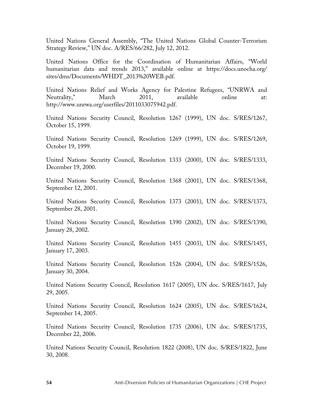United Nations General Assembly, "The United Nations Global Counter-Terrorism Strategy Review," UN doc. A/RES/66/282, July 12, 2012.

United Nations Office for the Coordination of Humanitarian Affairs, "World [humanitarian data and trends 2013," available online at https://docs.unocha.org/](https://docs.unocha.org/sites/dms/Documents/WHDT_2013%20WEB.pdf) sites/dms/Documents/WHDT\_2013%20WEB.pdf.

United Nations Relief and Works Agency for Palestine Refugees, "UNRWA and Neutrality," March 2011, available online at: http://www.unrwa.org/userfiles/2011033075942.pdf.

United Nations Security Council, Resolution 1267 (1999), UN doc. S/RES/1267, October 15, 1999.

United Nations Security Council, Resolution 1269 (1999), UN doc. S/RES/1269, October 19, 1999.

United Nations Security Council, Resolution 1333 (2000), UN doc. S/RES/1333, December 19, 2000.

United Nations Security Council, Resolution 1368 (2001), UN doc. S/RES/1368, September 12, 2001.

United Nations Security Council, Resolution 1373 (2001), UN doc. S/RES/1373, September 28, 2001.

United Nations Security Council, Resolution 1390 (2002), UN doc. S/RES/1390, January 28, 2002.

United Nations Security Council, Resolution 1455 (2003), UN doc. S/RES/1455, January 17, 2003.

United Nations Security Council, Resolution 1526 (2004), UN doc. S/RES/1526, January 30, 2004.

United Nations Security Council, Resolution 1617 (2005), UN doc. S/RES/1617, July 29, 2005.

United Nations Security Council, Resolution 1624 (2005), UN doc. S/RES/1624, September 14, 2005.

United Nations Security Council, Resolution 1735 (2006), UN doc. S/RES/1735, December 22, 2006.

United Nations Security Council, Resolution 1822 (2008), UN doc. S/RES/1822, June 30, 2008.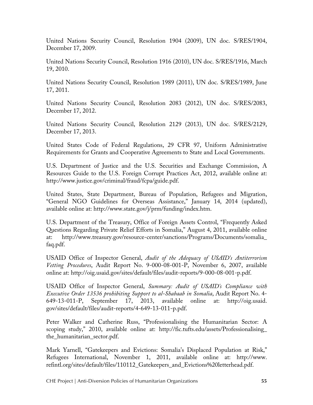United Nations Security Council, Resolution 1904 (2009), UN doc. S/RES/1904, December 17, 2009.

United Nations Security Council, Resolution 1916 (2010), UN doc. S/RES/1916, March 19, 2010.

United Nations Security Council, Resolution 1989 (2011), UN doc. S/RES/1989, June 17, 2011.

United Nations Security Council, Resolution 2083 (2012), UN doc. S/RES/2083, December 17, 2012.

United Nations Security Council, Resolution 2129 (2013), UN doc. S/RES/2129, December 17, 2013.

United States Code of Federal Regulations, 29 CFR 97, Uniform Administrative Requirements for Grants and Cooperative Agreements to State and Local Governments.

U.S. Department of Justice and the U.S. Securities and Exchange Commission, A Resources Guide to the U.S. Foreign Corrupt Practices Act, 2012, available online at: http://www.justice.gov/criminal/fraud/fcpa/guide.pdf.

United States, State Department, Bureau of Population, Refugees and Migration, "General NGO Guidelines for Overseas Assistance," January 14, 2014 (updated), available online at: http://www.state.gov/j/prm/funding/index.htm.

U.S. Department of the Treasury, Office of Foreign Assets Control, "Frequently Asked Questions Regarding Private Relief Efforts in Somalia," August 4, 2011, available online [at: http://www.treasury.gov/resource-center/sanctions/Programs/Documents/somalia\\_](http://www.treasury.gov/resource-center/sanctions/Programs/Documents/somalia_faq.pdf) faq.pdf.

USAID Office of Inspector General, *Audit of the Adequacy of USAID's Antiterrorism Vetting Procedures*, Audit Report No. 9-000-08-001-P, November 6, 2007, available online at: http://oig.usaid.gov/sites/default/files/audit-reports/9-000-08-001-p.pdf.

USAID Office of Inspector General, *Summary: Audit of USAID's Compliance with Executive Order 13536 prohibiting Support to al-Shabaab in Somalia*, Audit Report No. 4- [649-13-011-P, September 17, 2013, available online at: http://oig.usaid.](http://oig.usaid.gov/sites/default/files/audit-reports/4-649-13-011-p.pdf) gov/sites/default/files/audit-reports/4-649-13-011-p.pdf.

Peter Walker and Catherine Russ, "Professionalising the Humanitarian Sector: A [scoping study," 2010, available online at: http://fic.tufts.edu/assets/Professionalising\\_](http://fic.tufts.edu/assets/Professionalising_the_humanitarian_sector.pdf) the\_humanitarian\_sector.pdf.

Mark Yarnell, "Gatekeepers and Evictions: Somalia's Displaced Population at Risk," Refugees International, November 1, 2011, available online at: http://www. [refintl.org/sites/default/files/110112\\_Gatekeepers\\_and\\_Evictions%20letterhead.pdf.](http://www.refintl.org/sites/default/files/110112_Gatekeepers_and_Evictions%20letterhead.pdf)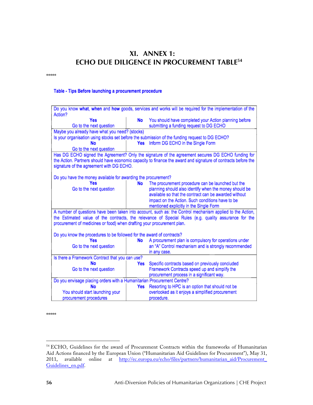# **XI. ANNEX 1: ECHO DUE DILIGENCE IN PROCUREMENT TABLE54**

\*\*\*\*\*

#### Table - Tips Before launching a procurement procedure

| Do you know what, when and how goods, services and works will be required for the implementation of the       |           |                                                        |  |  |  |  |  |
|---------------------------------------------------------------------------------------------------------------|-----------|--------------------------------------------------------|--|--|--|--|--|
| Action?                                                                                                       |           |                                                        |  |  |  |  |  |
| <b>Yes</b>                                                                                                    | <b>No</b> | You should have completed your Action planning before  |  |  |  |  |  |
| Go to the next question                                                                                       |           | submitting a funding request to DG ECHO                |  |  |  |  |  |
| Maybe you already have what you need? (stocks)                                                                |           |                                                        |  |  |  |  |  |
| Is your organisation using stocks set before the submission of the funding request to DG ECHO?                |           |                                                        |  |  |  |  |  |
| <b>No</b>                                                                                                     | Yes       | Inform DG ECHO in the Single Form                      |  |  |  |  |  |
| Go to the next question                                                                                       |           |                                                        |  |  |  |  |  |
| Has DG ECHO signed the Agreement? Only the signature of the agreement secures DG ECHO funding for             |           |                                                        |  |  |  |  |  |
| the Action. Partners should have economic capacity to finance the award and signature of contracts before the |           |                                                        |  |  |  |  |  |
| signature of the agreement with DG ECHO.                                                                      |           |                                                        |  |  |  |  |  |
|                                                                                                               |           |                                                        |  |  |  |  |  |
| Do you have the money available for awarding the procurement?                                                 |           |                                                        |  |  |  |  |  |
| Yes                                                                                                           | No        | The procurement procedure can be launched but the      |  |  |  |  |  |
| Go to the next question                                                                                       |           | planning should also identify when the money should be |  |  |  |  |  |
|                                                                                                               |           | available so that the contract can be awarded without  |  |  |  |  |  |
|                                                                                                               |           | impact on the Action. Such conditions have to be       |  |  |  |  |  |
|                                                                                                               |           | mentioned explicitly in the Single Form                |  |  |  |  |  |
| A number of questions have been taken into account, such as: the Control mechanism applied to the Action,     |           |                                                        |  |  |  |  |  |
| the Estimated value of the contracts, the relevance of Special Rules (e.g. quality assurance for the          |           |                                                        |  |  |  |  |  |
| procurement of medicines or food) when drafting your procurement plan.                                        |           |                                                        |  |  |  |  |  |
| Do you know the procedures to be followed for the award of contracts?                                         |           |                                                        |  |  |  |  |  |
| <b>Yes</b>                                                                                                    | No        | A procurement plan is compulsory for operations under  |  |  |  |  |  |
| Go to the next question                                                                                       |           | an "A" Control mechanism and is strongly recommended   |  |  |  |  |  |
|                                                                                                               |           | in any case.                                           |  |  |  |  |  |
| Is there a Framework Contract that you can use?                                                               |           |                                                        |  |  |  |  |  |
| <b>No</b>                                                                                                     | Yes       | Specific contracts based on previously concluded       |  |  |  |  |  |
| Go to the next question                                                                                       |           | Framework Contracts speed up and simplify the          |  |  |  |  |  |
|                                                                                                               |           | procurement process in a significant way.              |  |  |  |  |  |
| Do you envisage placing orders with a Humanitarian Procurement Centre?                                        |           |                                                        |  |  |  |  |  |
| <b>No</b>                                                                                                     | Yes       | Resorting to HPC is an option that should not be       |  |  |  |  |  |
| You should start launching your                                                                               |           | overlooked as it enjoys a simplified procurement       |  |  |  |  |  |
| procurement procedures                                                                                        |           | procedure.                                             |  |  |  |  |  |

\*\*\*\*\*

<sup>&</sup>lt;sup>54</sup> ECHO, Guidelines for the award of Procurement Contracts within the frameworks of Humanitarian Aid Actions financed by the European Union ("Humanitarian Aid Guidelines for Procurement"), May 31, 2011, available online at http://ec.europa.eu/echo/files/partners/humanitarian\_aid/Procurement\_ Guidelines\_en.pdf.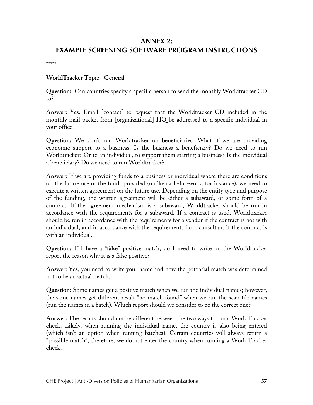# **ANNEX 2: EXAMPLE SCREENING SOFTWARE PROGRAM INSTRUCTIONS**

\*\*\*\*\*

#### **WorldTracker Topic - General**

**Question:** Can countries specify a specific person to send the monthly Worldtracker CD to?

**Answer:** Yes. Email [contact] to request that the Worldtracker CD included in the monthly mail packet from [organizational] HQ be addressed to a specific individual in your office.

**Question:** We don't run Worldtracker on beneficiaries. What if we are providing economic support to a business. Is the business a beneficiary? Do we need to run Worldtracker? Or to an individual, to support them starting a business? Is the individual a beneficiary? Do we need to run Worldtracker?

**Answer:** If we are providing funds to a business or individual where there are conditions on the future use of the funds provided (unlike cash-for-work, for instance), we need to execute a written agreement on the future use. Depending on the entity type and purpose of the funding, the written agreement will be either a subaward, or some form of a contract. If the agreement mechanism is a subaward, Worldtracker should be run in accordance with the requirements for a subaward. If a contract is used, Worldtracker should be run in accordance with the requirements for a vendor if the contract is not with an individual, and in accordance with the requirements for a consultant if the contract is with an individual.

**Question:** If I have a "false" positive match, do I need to write on the Worldtracker report the reason why it is a false positive?

**Answer:** Yes, you need to write your name and how the potential match was determined not to be an actual match.

**Question:** Some names get a positive match when we run the individual names; however, the same names get different result "no match found" when we run the scan file names (run the names in a batch). Which report should we consider to be the correct one?

**Answer:** The results should not be different between the two ways to run a WorldTracker check. Likely, when running the individual name, the country is also being entered (which isn't an option when running batches). Certain countries will always return a "possible match"; therefore, we do not enter the country when running a WorldTracker check.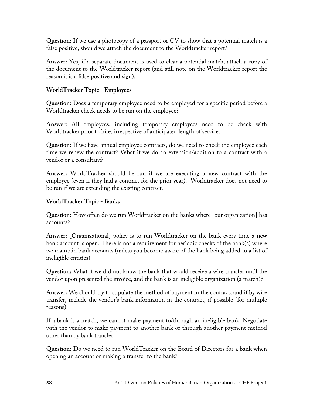**Question:** If we use a photocopy of a passport or CV to show that a potential match is a false positive, should we attach the document to the Worldtracker report?

**Answer:** Yes, if a separate document is used to clear a potential match, attach a copy of the document to the Worldtracker report (and still note on the Worldtracker report the reason it is a false positive and sign).

#### **WorldTracker Topic - Employees**

**Question:** Does a temporary employee need to be employed for a specific period before a Worldtracker check needs to be run on the employee?

**Answer:** All employees, including temporary employees need to be check with Worldtracker prior to hire, irrespective of anticipated length of service.

**Question:** If we have annual employee contracts, do we need to check the employee each time we renew the contract? What if we do an extension/addition to a contract with a vendor or a consultant?

**Answer:** WorldTracker should be run if we are executing a **new** contract with the employee (even if they had a contract for the prior year). Worldtracker does not need to be run if we are extending the existing contract.

### **WorldTracker Topic - Banks**

**Question:** How often do we run Worldtracker on the banks where [our organization] has accounts?

**Answer:** [Organizational] policy is to run Worldtracker on the bank every time a **new**  bank account is open. There is not a requirement for periodic checks of the bank(s) where we maintain bank accounts (unless you become aware of the bank being added to a list of ineligible entities).

**Question:** What if we did not know the bank that would receive a wire transfer until the vendor upon presented the invoice, and the bank is an ineligible organization (a match)?

**Answer:** We should try to stipulate the method of payment in the contract, and if by wire transfer, include the vendor's bank information in the contract, if possible (for multiple reasons).

If a bank is a match, we cannot make payment to/through an ineligible bank. Negotiate with the vendor to make payment to another bank or through another payment method other than by bank transfer.

**Question:** Do we need to run WorldTracker on the Board of Directors for a bank when opening an account or making a transfer to the bank?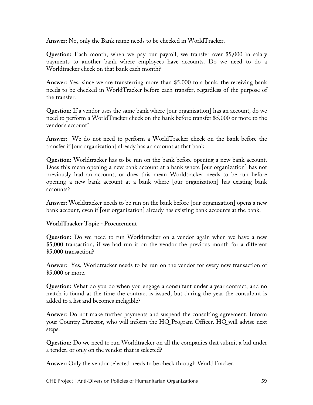**Answer:** No, only the Bank name needs to be checked in WorldTracker.

**Question:** Each month, when we pay our payroll, we transfer over \$5,000 in salary payments to another bank where employees have accounts. Do we need to do a Worldtracker check on that bank each month?

**Answer:** Yes, since we are transferring more than \$5,000 to a bank, the receiving bank needs to be checked in WorldTracker before each transfer, regardless of the purpose of the transfer.

**Question:** If a vendor uses the same bank where [our organization] has an account, do we need to perform a WorldTracker check on the bank before transfer \$5,000 or more to the vendor's account?

**Answer:** We do not need to perform a WorldTracker check on the bank before the transfer if [our organization] already has an account at that bank.

**Question:** Worldtracker has to be run on the bank before opening a new bank account. Does this mean opening a new bank account at a bank where [our organization] has not previously had an account, or does this mean Worldtracker needs to be run before opening a new bank account at a bank where [our organization] has existing bank accounts?

**Answer:** Worldtracker needs to be run on the bank before [our organization] opens a new bank account, even if [our organization] already has existing bank accounts at the bank.

#### **WorldTracker Topic - Procurement**

**Question:** Do we need to run Worldtracker on a vendor again when we have a new \$5,000 transaction, if we had run it on the vendor the previous month for a different \$5,000 transaction?

**Answer:** Yes, Worldtracker needs to be run on the vendor for every new transaction of \$5,000 or more.

**Question:** What do you do when you engage a consultant under a year contract, and no match is found at the time the contract is issued, but during the year the consultant is added to a list and becomes ineligible?

**Answer:** Do not make further payments and suspend the consulting agreement. Inform your Country Director, who will inform the HQ Program Officer. HQ will advise next steps.

**Question:** Do we need to run Worldtracker on all the companies that submit a bid under a tender, or only on the vendor that is selected?

**Answer:** Only the vendor selected needs to be check through WorldTracker.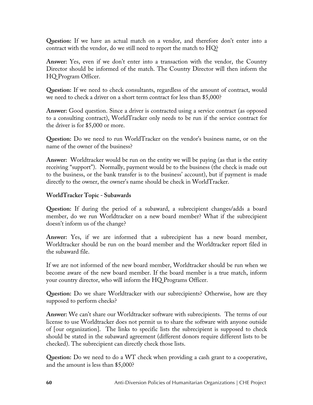**Question:** If we have an actual match on a vendor, and therefore don't enter into a contract with the vendor, do we still need to report the match to HQ?

**Answer:** Yes, even if we don't enter into a transaction with the vendor, the Country Director should be informed of the match. The Country Director will then inform the HQ Program Officer.

**Question:** If we need to check consultants, regardless of the amount of contract, would we need to check a driver on a short term contract for less than \$5,000?

**Answer:** Good question. Since a driver is contracted using a service contract (as opposed to a consulting contract), WorldTracker only needs to be run if the service contract for the driver is for \$5,000 or more.

**Question:** Do we need to run WorldTracker on the vendor's business name, or on the name of the owner of the business?

**Answer:** Worldtracker would be run on the entity we will be paying (as that is the entity receiving "support"). Normally, payment would be to the business (the check is made out to the business, or the bank transfer is to the business' account), but if payment is made directly to the owner, the owner's name should be check in WorldTracker.

#### **WorldTracker Topic - Subawards**

**Question:** If during the period of a subaward, a subrecipient changes/adds a board member, do we run Worldtracker on a new board member? What if the subrecipient doesn't inform us of the change?

**Answer:** Yes, if we are informed that a subrecipient has a new board member, Worldtracker should be run on the board member and the Worldtracker report filed in the subaward file.

If we are not informed of the new board member, Worldtracker should be run when we become aware of the new board member. If the board member is a true match, inform your country director, who will inform the HQ Programs Officer.

**Question:** Do we share Worldtracker with our subrecipients? Otherwise, how are they supposed to perform checks?

**Answer:** We can't share our Worldtracker software with subrecipients. The terms of our license to use Worldtracker does not permit us to share the software with anyone outside of [our organization]. The links to specific lists the subrecipient is supposed to check should be stated in the subaward agreement (different donors require different lists to be checked). The subrecipient can directly check those lists.

**Question:** Do we need to do a WT check when providing a cash grant to a cooperative, and the amount is less than \$5,000?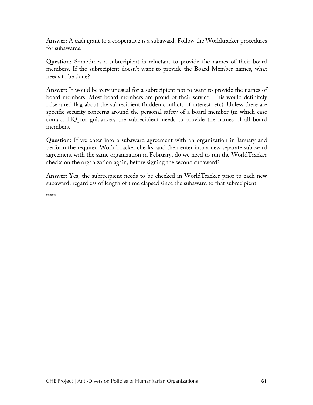**Answer:** A cash grant to a cooperative is a subaward. Follow the Worldtracker procedures for subawards.

**Question:** Sometimes a subrecipient is reluctant to provide the names of their board members. If the subrecipient doesn't want to provide the Board Member names, what needs to be done?

**Answer:** It would be very unusual for a subrecipient not to want to provide the names of board members. Most board members are proud of their service. This would definitely raise a red flag about the subrecipient (hidden conflicts of interest, etc). Unless there are specific security concerns around the personal safety of a board member (in which case contact HQ for guidance), the subrecipient needs to provide the names of all board members.

**Question:** If we enter into a subaward agreement with an organization in January and perform the required WorldTracker checks, and then enter into a new separate subaward agreement with the same organization in February, do we need to run the WorldTracker checks on the organization again, before signing the second subaward?

**Answer:** Yes, the subrecipient needs to be checked in WorldTracker prior to each new subaward, regardless of length of time elapsed since the subaward to that subrecipient.

\*\*\*\*\*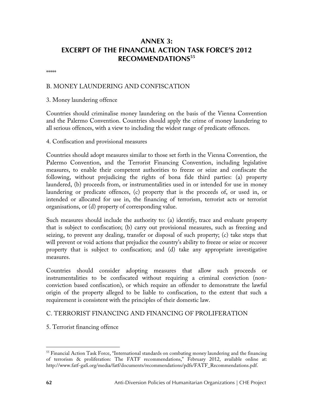# **ANNEX 3: EXCERPT OF THE FINANCIAL ACTION TASK FORCE'S 2012 RECOMMENDATIONS55**

\*\*\*\*\*

#### B. MONEY LAUNDERING AND CONFISCATION

#### 3. Money laundering offence

Countries should criminalise money laundering on the basis of the Vienna Convention and the Palermo Convention. Countries should apply the crime of money laundering to all serious offences, with a view to including the widest range of predicate offences.

#### 4. Confiscation and provisional measures

Countries should adopt measures similar to those set forth in the Vienna Convention, the Palermo Convention, and the Terrorist Financing Convention, including legislative measures, to enable their competent authorities to freeze or seize and confiscate the following, without prejudicing the rights of bona fide third parties: (a) property laundered, (b) proceeds from, or instrumentalities used in or intended for use in money laundering or predicate offences, (c) property that is the proceeds of, or used in, or intended or allocated for use in, the financing of terrorism, terrorist acts or terrorist organisations, or (d) property of corresponding value.

Such measures should include the authority to: (a) identify, trace and evaluate property that is subject to confiscation; (b) carry out provisional measures, such as freezing and seizing, to prevent any dealing, transfer or disposal of such property; (c) take steps that will prevent or void actions that prejudice the country's ability to freeze or seize or recover property that is subject to confiscation; and (d) take any appropriate investigative measures.

Countries should consider adopting measures that allow such proceeds or instrumentalities to be confiscated without requiring a criminal conviction (nonconviction based confiscation), or which require an offender to demonstrate the lawful origin of the property alleged to be liable to confiscation, to the extent that such a requirement is consistent with the principles of their domestic law.

#### C. TERRORIST FINANCING AND FINANCING OF PROLIFERATION

#### 5. Terrorist financing offence

 <sup>55</sup> Financial Action Task Force, "International standards on combating money laundering and the financing of terrorism & proliferation: The FATF recommendations," February 2012, available online at: http://www.fatf-gafi.org/media/fatf/documents/recommendations/pdfs/FATF\_Recommendations.pdf.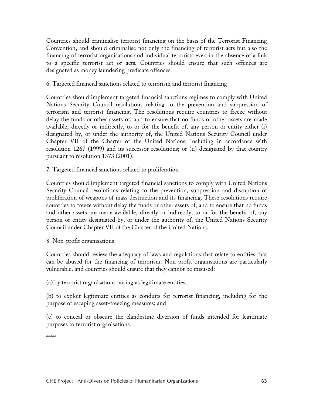Countries should criminalise terrorist financing on the basis of the Terrorist Financing Convention, and should criminalise not only the financing of terrorist acts but also the financing of terrorist organisations and individual terrorists even in the absence of a link to a specific terrorist act or acts. Countries should ensure that such offences are designated as money laundering predicate offences.

#### 6. Targeted financial sanctions related to terrorism and terrorist financing

Countries should implement targeted financial sanctions regimes to comply with United Nations Security Council resolutions relating to the prevention and suppression of terrorism and terrorist financing. The resolutions require countries to freeze without delay the funds or other assets of, and to ensure that no funds or other assets are made available, directly or indirectly, to or for the benefit of, any person or entity either (i) designated by, or under the authority of, the United Nations Security Council under Chapter VII of the Charter of the United Nations, including in accordance with resolution 1267 (1999) and its successor resolutions; or (ii) designated by that country pursuant to resolution 1373 (2001).

7. Targeted financial sanctions related to proliferation

Countries should implement targeted financial sanctions to comply with United Nations Security Council resolutions relating to the prevention, suppression and disruption of proliferation of weapons of mass destruction and its financing. These resolutions require countries to freeze without delay the funds or other assets of, and to ensure that no funds and other assets are made available, directly or indirectly, to or for the benefit of, any person or entity designated by, or under the authority of, the United Nations Security Council under Chapter VII of the Charter of the United Nations.

#### 8. Non-profit organisations

Countries should review the adequacy of laws and regulations that relate to entities that can be abused for the financing of terrorism. Non-profit organisations are particularly vulnerable, and countries should ensure that they cannot be misused:

(a) by terrorist organisations posing as legitimate entities;

(b) to exploit legitimate entities as conduits for terrorist financing, including for the purpose of escaping asset-freezing measures; and

(c) to conceal or obscure the clandestine diversion of funds intended for legitimate purposes to terrorist organisations.

\*\*\*\*\*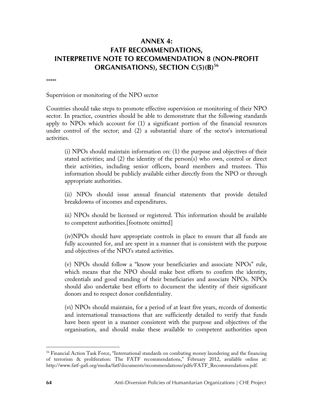# **ANNEX 4: FATF RECOMMENDATIONS, INTERPRETIVE NOTE TO RECOMMENDATION 8 (NON-PROFIT ORGANISATIONS), SECTION C(5)(B)<sup>56</sup>**

\*\*\*\*\*

Supervision or monitoring of the NPO sector

Countries should take steps to promote effective supervision or monitoring of their NPO sector. In practice, countries should be able to demonstrate that the following standards apply to NPOs which account for (1) a significant portion of the financial resources under control of the sector; and (2) a substantial share of the sector's international activities.

(i) NPOs should maintain information on: (1) the purpose and objectives of their stated activities; and (2) the identity of the person(s) who own, control or direct their activities, including senior officers, board members and trustees. This information should be publicly available either directly from the NPO or through appropriate authorities.

(ii) NPOs should issue annual financial statements that provide detailed breakdowns of incomes and expenditures.

iii) NPOs should be licensed or registered. This information should be available to competent authorities.[footnote omitted]

(iv)NPOs should have appropriate controls in place to ensure that all funds are fully accounted for, and are spent in a manner that is consistent with the purpose and objectives of the NPO's stated activities.

(v) NPOs should follow a "know your beneficiaries and associate NPOs" rule, which means that the NPO should make best efforts to confirm the identity, credentials and good standing of their beneficiaries and associate NPOs. NPOs should also undertake best efforts to document the identity of their significant donors and to respect donor confidentiality.

(vi) NPOs should maintain, for a period of at least five years, records of domestic and international transactions that are sufficiently detailed to verify that funds have been spent in a manner consistent with the purpose and objectives of the organisation, and should make these available to competent authorities upon

 <sup>56</sup> Financial Action Task Force, "International standards on combating money laundering and the financing of terrorism & proliferation: The FATF recommendations," February 2012, available online at: http://www.fatf-gafi.org/media/fatf/documents/recommendations/pdfs/FATF\_Recommendations.pdf.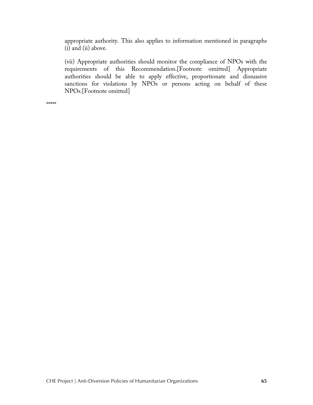appropriate authority. This also applies to information mentioned in paragraphs (i) and (ii) above.

(vii) Appropriate authorities should monitor the compliance of NPOs with the requirements of this Recommendation.[Footnote omitted] Appropriate authorities should be able to apply effective, proportionate and dissuasive sanctions for violations by NPOs or persons acting on behalf of these NPOs.[Footnote omitted]

\*\*\*\*\*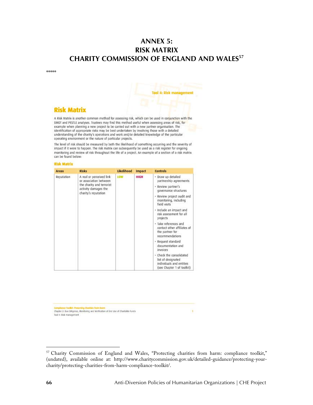## **ANNEX 5: RISK MATRIX CHARITY COMMISSION OF ENGLAND AND WALES57**

#### \*\*\*\*\*



#### **Risk Matrix**

A Risk Matrix is another common method for assessing risk, which can be used in conjunction with the SWOT and PESTLE analyses. Trustees may find this method useful when assessing areas of risk, for example when planning a new project to be carried out with a new partner organisation. The identification of appropriate risks may be best undertaken by involving those with a detailed understanding of the charity's operations and work and/or detailed knowledge of the particular operating environment or the nature of particular projects.

The level of risk should be measured by both the likelihood of something occurring and the severity of impact if it were to happen. The risk matrix can subsequently be used as a risk register for ongoing monitoring and review of risk throughout the life of a project. An example of a section of a risk matrix can be found below:

#### **Risk Matrix**

| <b>Areas</b>                                                                                                                                  | <b>Risks</b> | Likelihood | Impact                                                         | Controls                                                                                                 |
|-----------------------------------------------------------------------------------------------------------------------------------------------|--------------|------------|----------------------------------------------------------------|----------------------------------------------------------------------------------------------------------|
| A real or perceived link<br>Reputation<br>or association between<br>the charity and terrorist<br>activity damages the<br>charity's reputation |              | <b>LOW</b> | HIGH                                                           | · Draw up detailed<br>partnership agreements                                                             |
|                                                                                                                                               |              |            |                                                                | · Review partner's<br>governance structures                                                              |
|                                                                                                                                               |              |            |                                                                | · Review project audit and<br>monitoring, including<br>field visits                                      |
|                                                                                                                                               |              |            | · Include an impact and<br>risk assessment for all<br>projects |                                                                                                          |
|                                                                                                                                               |              |            |                                                                | · Take references and<br>contact other affiliates of<br>the partner for<br>recommendations               |
|                                                                                                                                               |              |            |                                                                | - Request standard<br>documentation and<br>invoices                                                      |
|                                                                                                                                               |              |            |                                                                | · Check the consolidated<br>list of designated<br>individuals and entities<br>(see Chapter 1 of toolkit) |

Chapter 2: Due Diligence, Monitoring and Verification of End Use of Charitable Funds Tool 4: Risk management

 $\overline{\phantom{a}}$ 

<sup>&</sup>lt;sup>57</sup> Charity Commission of England and Wales, "Protecting charities from harm: compliance toolkit," (undated), available online at: http://www.charitycommission.gov.uk/detailed-guidance/protecting-yourcharity/protecting-charities-from-harm-compliance-toolkit/.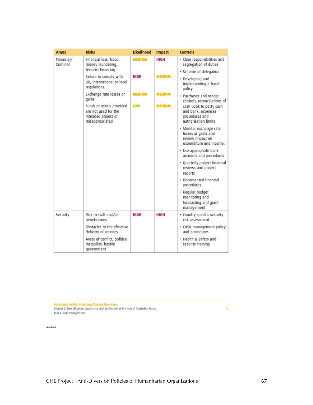| <b>Areas</b>           | Risks                                                                                      | Likelihood    | Impact        | <b>Controls</b>                                                                                                                                                                                         |
|------------------------|--------------------------------------------------------------------------------------------|---------------|---------------|---------------------------------------------------------------------------------------------------------------------------------------------------------------------------------------------------------|
| Financial/<br>Criminal | Financial loss, fraud,<br>money laundering,<br>terrorist financino.                        | <b>MEDIUM</b> | <b>HIGH</b>   | - Clear responsibilities and<br>segregation of duties                                                                                                                                                   |
|                        |                                                                                            |               | <b>MEDIUM</b> | · Scheme of delegation                                                                                                                                                                                  |
|                        | Failure to comply with<br>UK, International or local<br>regulations.                       | <b>HIGH</b>   |               | · Developing and<br>implementing a fraud<br>policy<br>· Purchases and tender<br>controls, reconciliations of<br>cash book to petty cash<br>and bank, expenses<br>procedures and<br>authorisation limits |
|                        | Exchange rate losses or<br>qains                                                           | <b>MEDIUM</b> | <b>MEDIUM</b> |                                                                                                                                                                                                         |
|                        | Funds or assets provided<br>are not used for the<br>intended project or<br>misappropriated | LOW           | <b>MEDIUM</b> |                                                                                                                                                                                                         |
|                        |                                                                                            |               |               | · Monitor exchange rate<br>losses or gains and<br>review impact on<br>expenditure and income.                                                                                                           |
|                        |                                                                                            |               |               | · Use appropriate bank<br>accounts and procedures                                                                                                                                                       |
|                        |                                                                                            |               |               | · Quarterly project financial<br>reviews and project<br>reports                                                                                                                                         |
|                        |                                                                                            |               |               | · Documented financial<br>procedures                                                                                                                                                                    |
|                        |                                                                                            |               |               | · Regular budget<br>monitoring and<br>forecasting and grant<br>management                                                                                                                               |
| Security               | Risk to staff and/or<br>beneficiaries.                                                     | <b>HIGH</b>   | <b>HIGH</b>   | - Country specific security<br>risk assessment                                                                                                                                                          |
|                        | Obstacles to the effective<br>delivery of services.                                        |               |               | · Crisis management policy<br>and procedures                                                                                                                                                            |
|                        | Areas of conflict, political<br>instability, hostile<br>government                         |               |               | · Health & Safety and<br>security training                                                                                                                                                              |

Compliance Toolket: Protecting Charities from Harm<br>Chapter 2: Due Diligence, Monitoring and Verification of End Use of Charitable Funds<br>Tool 4: Risk management

 $\mathbb{R}^{n\times n}$ 

 $****$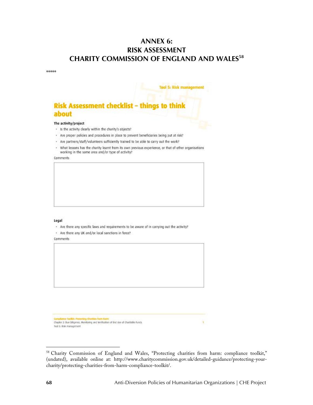# **ANNEX 6: RISK ASSESSMENT CHARITY COMMISSION OF ENGLAND AND WALES58**

**Tool 5: Risk management** 

\*\*\*\*\*

# Risk Assessment checklist - things to think about

#### The activity/project

- · Is the activity clearly within the charity's objects?
- . Are proper policies and procedures in place to prevent beneficiaries being put at risk?
- . Are partners/staff/volunteers sufficiently trained to be able to carry out the work?
- . What lessons has the charity learnt from its own previous experience, or that of other organisations working in the same area and/or type of activity?

Comments

#### Legal

- . Are there any specific laws and requirements to be aware of in carrying out the activity?
- . Are there any UK and/or local sanctions in force?

Comments

Chapter 2: Due Diligence, Monitoring and Verification of End Use of Charitable Funds Tool S: Risk management

 $\overline{1}$ 

<sup>&</sup>lt;sup>58</sup> Charity Commission of England and Wales, "Protecting charities from harm: compliance toolkit," (undated), available online at: http://www.charitycommission.gov.uk/detailed-guidance/protecting-yourcharity/protecting-charities-from-harm-compliance-toolkit/.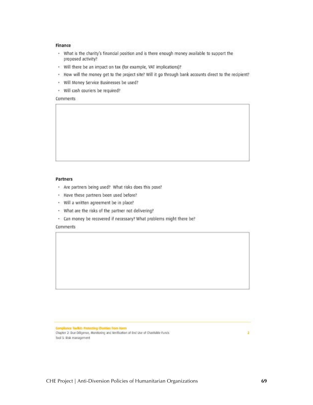#### Finance

- · What is the charity's financial position and is there enough money available to support the proposed activity?
- Will there be an impact on tax (for example, VAT implications)?
- + How will the money get to the project site? Will it go through bank accounts direct to the recipient?
- · Will Money Service Businesses be used?
- · Will cash couriers be required?

### Comments

### Partners

- · Are partners being used? What risks does this pose?
- · Have these partners been used before?
- · Will a written agreement be in place?
- · What are the risks of the partner not delivering?
- · Can money be recovered if necessary? What problems might there be?

#### Comments

Compliance Toolkit: Protecting Chanties from Harm Chapter 2: Due Diligence, Monitoring and Verification of End Use of Charitable Funds Tool 5: Risk management

 $\mathbf{2}^{\prime}$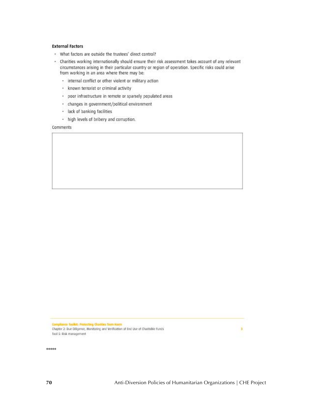### **External Factors**

- . What factors are outside the trustees' direct control?
- . Charities working internationally should ensure their risk assessment takes account of any relevant circumstances arising in their particular country or region of operation. Specific risks could arise from working in an area where there may be:
	- · internal conflict or other violent or military action
	- · known terrorist or criminal activity
	- · poor infrastructure in remote or sparsely populated areas
	- · changes in government/political environment
	- · lack of banking facilities
	- · high levels of bribery and corruption.

Comments

Compliance Toolkit: Protocolng Charities from Harm Chapter 2: Due Oiligence, Monitoring and Verification of End Use of Charitable Funds Tool 5: Risk management

s

**skokskok**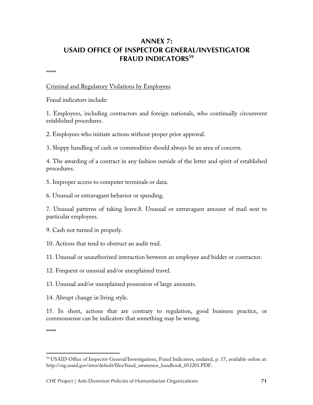# **ANNEX 7: USAID OFFICE OF INSPECTOR GENERAL/INVESTIGATOR FRAUD INDICATORS59**

\*\*\*\*\*

### Criminal and Regulatory Violations by Employees

Fraud indicators include:

1. Employees, including contractors and foreign nationals, who continually circumvent established procedures.

2. Employees who initiate actions without proper prior approval.

3. Sloppy handling of cash or commodities should always be an area of concern.

4. The awarding of a contract in any fashion outside of the letter and spirit of established procedures.

5. Improper access to computer terminals or data.

6. Unusual or extravagant behavior or spending.

7. Unusual patterns of taking leave.8. Unusual or extravagant amount of mail sent to particular employees.

9. Cash not turned in properly.

10. Actions that tend to obstruct an audit trail.

11. Unusual or unauthorized interaction between an employee and bidder or contractor.

12. Frequent or unusual and/or unexplained travel.

13. Unusual and/or unexplained possession of large amounts.

14. Abrupt change in living style.

15. In short, actions that are contrary to regulation, good business practice, or commonsense can be indicators that something may be wrong.

\*\*\*\*\*

 <sup>59</sup> USAID Office of Inspector General/Investigations, Fraud Indicators, undated, p. 17, available online at: http://oig.usaid.gov/sites/default/files/fraud\_awareness\_handbook\_052201.PDF.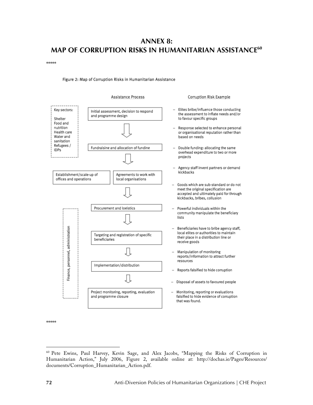## **ANNEX 8: MAP OF CORRUPTION RISKS IN HUMANITARIAN ASSISTANCE60**

\*\*\*\*\*

#### Figure 2: Map of Corruption Risks in Humanitarian Assistance



\*\*\*\*\*

 <sup>60</sup> Pete Ewins, Paul Harvey, Kevin Sage, and Alex Jacobs, "Mapping the Risks of Corruption in Humanitarian Action," July 2006, Figure 2, available online at: http://dochas.ie/Pages/Resources/ documents/Corruption\_Humanitarian\_Action.pdf.